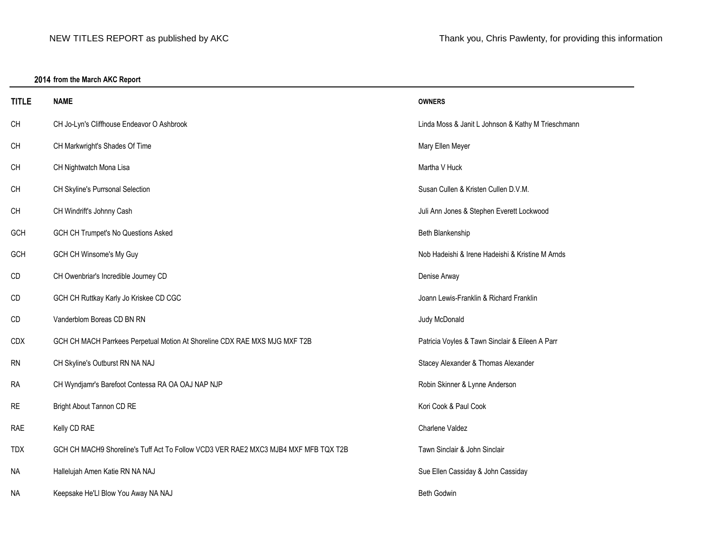# **2014 from the March AKC Report**

| <b>TITLE</b> | <b>NAME</b>                                                                         | <b>OWNERS</b>                                      |
|--------------|-------------------------------------------------------------------------------------|----------------------------------------------------|
| CH           | CH Jo-Lyn's Cliffhouse Endeavor O Ashbrook                                          | Linda Moss & Janit L Johnson & Kathy M Trieschmann |
| CH           | CH Markwright's Shades Of Time                                                      | Mary Ellen Meyer                                   |
| CH           | CH Nightwatch Mona Lisa                                                             | Martha V Huck                                      |
| CH           | CH Skyline's Purrsonal Selection                                                    | Susan Cullen & Kristen Cullen D.V.M.               |
| CH           | CH Windrift's Johnny Cash                                                           | Juli Ann Jones & Stephen Everett Lockwood          |
| GCH          | GCH CH Trumpet's No Questions Asked                                                 | Beth Blankenship                                   |
| GCH          | GCH CH Winsome's My Guy                                                             | Nob Hadeishi & Irene Hadeishi & Kristine M Arnds   |
| CD           | CH Owenbriar's Incredible Journey CD                                                | Denise Arway                                       |
| CD           | GCH CH Ruttkay Karly Jo Kriskee CD CGC                                              | Joann Lewis-Franklin & Richard Franklin            |
| CD           | Vanderblom Boreas CD BN RN                                                          | Judy McDonald                                      |
| CDX          | GCH CH MACH Parrkees Perpetual Motion At Shoreline CDX RAE MXS MJG MXF T2B          | Patricia Voyles & Tawn Sinclair & Eileen A Parr    |
| <b>RN</b>    | CH Skyline's Outburst RN NA NAJ                                                     | Stacey Alexander & Thomas Alexander                |
| <b>RA</b>    | CH Wyndjamr's Barefoot Contessa RA OA OAJ NAP NJP                                   | Robin Skinner & Lynne Anderson                     |
| <b>RE</b>    | Bright About Tannon CD RE                                                           | Kori Cook & Paul Cook                              |
| RAE          | Kelly CD RAE                                                                        | Charlene Valdez                                    |
| <b>TDX</b>   | GCH CH MACH9 Shoreline's Tuff Act To Follow VCD3 VER RAE2 MXC3 MJB4 MXF MFB TQX T2B | Tawn Sinclair & John Sinclair                      |
| <b>NA</b>    | Hallelujah Amen Katie RN NA NAJ                                                     | Sue Ellen Cassiday & John Cassiday                 |
| NA.          | Keepsake He'Ll Blow You Away NA NAJ                                                 | <b>Beth Godwin</b>                                 |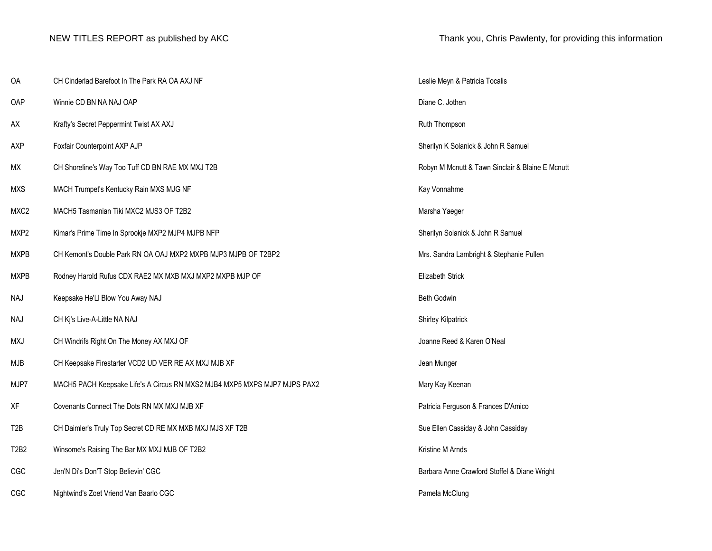| OA               | CH Cinderlad Barefoot In The Park RA OA AXJ NF                            | Leslie Meyn & Patricia Tocalis                   |
|------------------|---------------------------------------------------------------------------|--------------------------------------------------|
| OAP              | Winnie CD BN NA NAJ OAP                                                   | Diane C. Jothen                                  |
| AX               | Krafty's Secret Peppermint Twist AX AXJ                                   | Ruth Thompson                                    |
| AXP              | Foxfair Counterpoint AXP AJP                                              | Sherilyn K Solanick & John R Samuel              |
| МX               | CH Shoreline's Way Too Tuff CD BN RAE MX MXJ T2B                          | Robyn M Mcnutt & Tawn Sinclair & Blaine E Mcnutt |
| <b>MXS</b>       | MACH Trumpet's Kentucky Rain MXS MJG NF                                   | Kay Vonnahme                                     |
| MXC <sub>2</sub> | MACH5 Tasmanian Tiki MXC2 MJS3 OF T2B2                                    | Marsha Yaeger                                    |
| MXP2             | Kimar's Prime Time In Sprookje MXP2 MJP4 MJPB NFP                         | Sherilyn Solanick & John R Samuel                |
| <b>MXPB</b>      | CH Kemont's Double Park RN OA OAJ MXP2 MXPB MJP3 MJPB OF T2BP2            | Mrs. Sandra Lambright & Stephanie Pullen         |
| <b>MXPB</b>      | Rodney Harold Rufus CDX RAE2 MX MXB MXJ MXP2 MXPB MJP OF                  | Elizabeth Strick                                 |
| NAJ              | Keepsake He'Ll Blow You Away NAJ                                          | <b>Beth Godwin</b>                               |
| <b>NAJ</b>       | CH Kj's Live-A-Little NA NAJ                                              | Shirley Kilpatrick                               |
| MXJ              | CH Windrifs Right On The Money AX MXJ OF                                  | Joanne Reed & Karen O'Neal                       |
| <b>MJB</b>       | CH Keepsake Firestarter VCD2 UD VER RE AX MXJ MJB XF                      | Jean Munger                                      |
| MJP7             | MACH5 PACH Keepsake Life's A Circus RN MXS2 MJB4 MXP5 MXPS MJP7 MJPS PAX2 | Mary Kay Keenan                                  |
| XF               | Covenants Connect The Dots RN MX MXJ MJB XF                               | Patricia Ferguson & Frances D'Amico              |
| T <sub>2</sub> B | CH Daimler's Truly Top Secret CD RE MX MXB MXJ MJS XF T2B                 | Sue Ellen Cassiday & John Cassiday               |
| T2B2             | Winsome's Raising The Bar MX MXJ MJB OF T2B2                              | Kristine M Arnds                                 |
| CGC              | Jen'N Di's Don'T Stop Believin' CGC                                       | Barbara Anne Crawford Stoffel & Diane Wright     |
| CGC              | Nightwind's Zoet Vriend Van Baarlo CGC                                    | Pamela McClung                                   |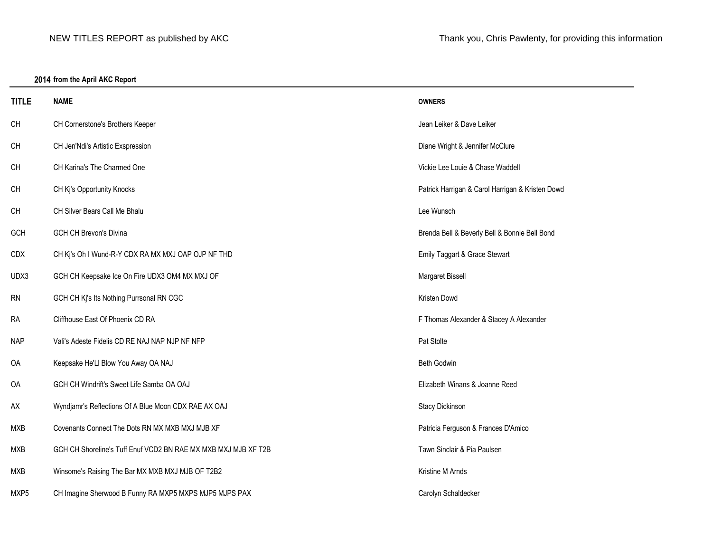# **2014 from the April AKC Report**

| <b>TITLE</b> | <b>NAME</b>                                                    | <b>OWNERS</b>                                    |
|--------------|----------------------------------------------------------------|--------------------------------------------------|
| CH           | CH Cornerstone's Brothers Keeper                               | Jean Leiker & Dave Leiker                        |
| CH           | CH Jen'Ndi's Artistic Exspression                              | Diane Wright & Jennifer McClure                  |
| CH           | CH Karina's The Charmed One                                    | Vickie Lee Louie & Chase Waddell                 |
| CH           | CH Kj's Opportunity Knocks                                     | Patrick Harrigan & Carol Harrigan & Kristen Dowd |
| CH           | CH Silver Bears Call Me Bhalu                                  | Lee Wunsch                                       |
| <b>GCH</b>   | <b>GCH CH Brevon's Divina</b>                                  | Brenda Bell & Beverly Bell & Bonnie Bell Bond    |
| CDX          | CH Kj's Oh I Wund-R-Y CDX RA MX MXJ OAP OJP NF THD             | Emily Taggart & Grace Stewart                    |
| UDX3         | GCH CH Keepsake Ice On Fire UDX3 OM4 MX MXJ OF                 | <b>Margaret Bissell</b>                          |
| <b>RN</b>    | GCH CH Kj's Its Nothing Purrsonal RN CGC                       | Kristen Dowd                                     |
| <b>RA</b>    | Cliffhouse East Of Phoenix CD RA                               | F Thomas Alexander & Stacey A Alexander          |
| <b>NAP</b>   | Vali's Adeste Fidelis CD RE NAJ NAP NJP NF NFP                 | Pat Stolte                                       |
| OA           | Keepsake He'Ll Blow You Away OA NAJ                            | Beth Godwin                                      |
| OA           | GCH CH Windrift's Sweet Life Samba OA OAJ                      | Elizabeth Winans & Joanne Reed                   |
| AX           | Wyndjamr's Reflections Of A Blue Moon CDX RAE AX OAJ           | Stacy Dickinson                                  |
| <b>MXB</b>   | Covenants Connect The Dots RN MX MXB MXJ MJB XF                | Patricia Ferguson & Frances D'Amico              |
| <b>MXB</b>   | GCH CH Shoreline's Tuff Enuf VCD2 BN RAE MX MXB MXJ MJB XF T2B | Tawn Sinclair & Pia Paulsen                      |
| MXB          | Winsome's Raising The Bar MX MXB MXJ MJB OF T2B2               | Kristine M Arnds                                 |
| MXP5         | CH Imagine Sherwood B Funny RA MXP5 MXPS MJP5 MJPS PAX         | Carolyn Schaldecker                              |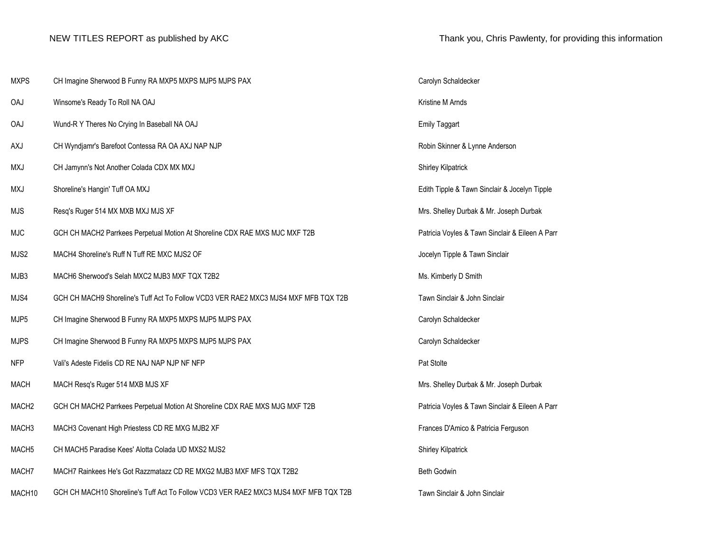| <b>MXPS</b>        | CH Imagine Sherwood B Funny RA MXP5 MXPS MJP5 MJPS PAX                               | Carolyn Schaldecker                             |
|--------------------|--------------------------------------------------------------------------------------|-------------------------------------------------|
| <b>OAJ</b>         | Winsome's Ready To Roll NA OAJ                                                       | Kristine M Arnds                                |
| OAJ                | Wund-R Y Theres No Crying In Baseball NA OAJ                                         | <b>Emily Taggart</b>                            |
| AXJ                | CH Wyndjamr's Barefoot Contessa RA OA AXJ NAP NJP                                    | Robin Skinner & Lynne Anderson                  |
| <b>MXJ</b>         | CH Jamynn's Not Another Colada CDX MX MXJ                                            | Shirley Kilpatrick                              |
| <b>MXJ</b>         | Shoreline's Hangin' Tuff OA MXJ                                                      | Edith Tipple & Tawn Sinclair & Jocelyn Tipple   |
| <b>MJS</b>         | Resq's Ruger 514 MX MXB MXJ MJS XF                                                   | Mrs. Shelley Durbak & Mr. Joseph Durbak         |
| <b>MJC</b>         | GCH CH MACH2 Parrkees Perpetual Motion At Shoreline CDX RAE MXS MJC MXF T2B          | Patricia Voyles & Tawn Sinclair & Eileen A Parr |
| MJS2               | MACH4 Shoreline's Ruff N Tuff RE MXC MJS2 OF                                         | Jocelyn Tipple & Tawn Sinclair                  |
| MJB3               | MACH6 Sherwood's Selah MXC2 MJB3 MXF TQX T2B2                                        | Ms. Kimberly D Smith                            |
| MJS4               | GCH CH MACH9 Shoreline's Tuff Act To Follow VCD3 VER RAE2 MXC3 MJS4 MXF MFB TQX T2B  | Tawn Sinclair & John Sinclair                   |
| MJP5               | CH Imagine Sherwood B Funny RA MXP5 MXPS MJP5 MJPS PAX                               | Carolyn Schaldecker                             |
| <b>MJPS</b>        | CH Imagine Sherwood B Funny RA MXP5 MXPS MJP5 MJPS PAX                               | Carolyn Schaldecker                             |
| <b>NFP</b>         | Vali's Adeste Fidelis CD RE NAJ NAP NJP NF NFP                                       | Pat Stolte                                      |
| <b>MACH</b>        | MACH Resq's Ruger 514 MXB MJS XF                                                     | Mrs. Shelley Durbak & Mr. Joseph Durbak         |
| MACH <sub>2</sub>  | GCH CH MACH2 Parrkees Perpetual Motion At Shoreline CDX RAE MXS MJG MXF T2B          | Patricia Voyles & Tawn Sinclair & Eileen A Parr |
| MACH <sub>3</sub>  | MACH3 Covenant High Priestess CD RE MXG MJB2 XF                                      | Frances D'Amico & Patricia Ferguson             |
| MACH <sub>5</sub>  | CH MACH5 Paradise Kees' Alotta Colada UD MXS2 MJS2                                   | <b>Shirley Kilpatrick</b>                       |
| MACH7              | MACH7 Rainkees He's Got Razzmatazz CD RE MXG2 MJB3 MXF MFS TQX T2B2                  | Beth Godwin                                     |
| MACH <sub>10</sub> | GCH CH MACH10 Shoreline's Tuff Act To Follow VCD3 VER RAE2 MXC3 MJS4 MXF MFB TQX T2B | Tawn Sinclair & John Sinclair                   |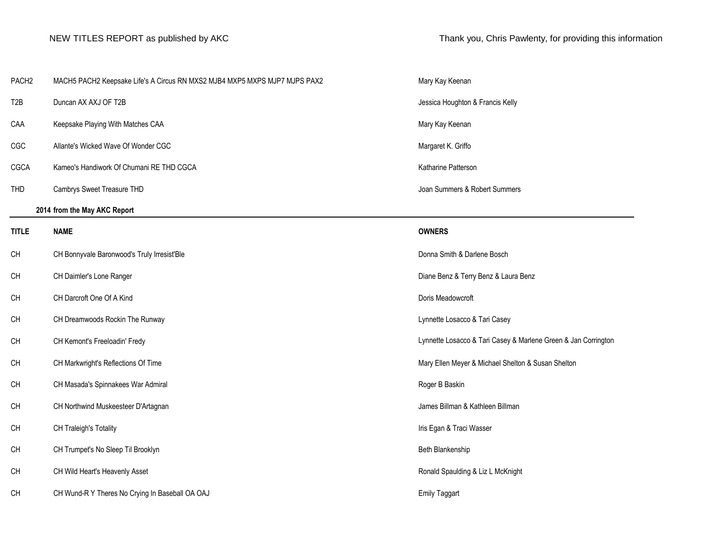|  | Thank you, Chris Pawlenty, for providing this information |
|--|-----------------------------------------------------------|
|--|-----------------------------------------------------------|

| PACH <sub>2</sub> | MACH5 PACH2 Keepsake Life's A Circus RN MXS2 MJB4 MXP5 MXPS MJP7 MJPS PAX2 | Mary Kay Keenan                                                |
|-------------------|----------------------------------------------------------------------------|----------------------------------------------------------------|
| T <sub>2</sub> B  | Duncan AX AXJ OF T2B                                                       | Jessica Houghton & Francis Kelly                               |
| CAA               | Keepsake Playing With Matches CAA                                          | Mary Kay Keenan                                                |
| CGC               | Allante's Wicked Wave Of Wonder CGC                                        | Margaret K. Griffo                                             |
| CGCA              | Kameo's Handiwork Of Chumani RE THD CGCA                                   | Katharine Patterson                                            |
| <b>THD</b>        | Cambrys Sweet Treasure THD                                                 | Joan Summers & Robert Summers                                  |
|                   | 2014 from the May AKC Report                                               |                                                                |
| <b>TITLE</b>      | <b>NAME</b>                                                                | <b>OWNERS</b>                                                  |
| <b>CH</b>         | CH Bonnyvale Baronwood's Truly Irresist'Ble                                | Donna Smith & Darlene Bosch                                    |
| CH                | CH Daimler's Lone Ranger                                                   | Diane Benz & Terry Benz & Laura Benz                           |
| <b>CH</b>         | CH Darcroft One Of A Kind                                                  | Doris Meadowcroft                                              |
| CH                | CH Dreamwoods Rockin The Runway                                            | Lynnette Losacco & Tari Casey                                  |
| <b>CH</b>         | CH Kemont's Freeloadin' Fredy                                              | Lynnette Losacco & Tari Casey & Marlene Green & Jan Corrington |
| CH                | CH Markwright's Reflections Of Time                                        | Mary Ellen Meyer & Michael Shelton & Susan Shelton             |
| <b>CH</b>         | CH Masada's Spinnakees War Admiral                                         | Roger B Baskin                                                 |
| CH                | CH Northwind Muskeesteer D'Artagnan                                        | James Billman & Kathleen Billman                               |
| CH                | CH Traleigh's Totality                                                     | Iris Egan & Traci Wasser                                       |
| CH                | CH Trumpet's No Sleep Til Brooklyn                                         | Beth Blankenship                                               |
| CH                | CH Wild Heart's Heavenly Asset                                             | Ronald Spaulding & Liz L McKnight                              |
| <b>CH</b>         | CH Wund-R Y Theres No Crying In Baseball OA OAJ                            | <b>Emily Taggart</b>                                           |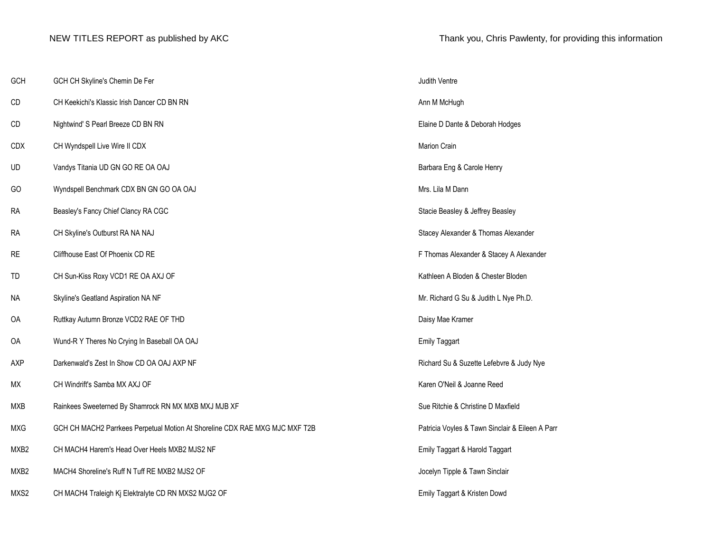| GCH              | GCH CH Skyline's Chemin De Fer                                              | Judith Ventre                                   |
|------------------|-----------------------------------------------------------------------------|-------------------------------------------------|
| CD               | CH Keekichi's Klassic Irish Dancer CD BN RN                                 | Ann M McHugh                                    |
| CD               | Nightwind' S Pearl Breeze CD BN RN                                          | Elaine D Dante & Deborah Hodges                 |
| <b>CDX</b>       | CH Wyndspell Live Wire II CDX                                               | <b>Marion Crain</b>                             |
| UD               | Vandys Titania UD GN GO RE OA OAJ                                           | Barbara Eng & Carole Henry                      |
| GO               | Wyndspell Benchmark CDX BN GN GO OA OAJ                                     | Mrs. Lila M Dann                                |
| <b>RA</b>        | Beasley's Fancy Chief Clancy RA CGC                                         | Stacie Beasley & Jeffrey Beasley                |
| <b>RA</b>        | CH Skyline's Outburst RA NA NAJ                                             | Stacey Alexander & Thomas Alexander             |
| <b>RE</b>        | Cliffhouse East Of Phoenix CD RE                                            | F Thomas Alexander & Stacey A Alexander         |
| TD               | CH Sun-Kiss Roxy VCD1 RE OA AXJ OF                                          | Kathleen A Bloden & Chester Bloden              |
| <b>NA</b>        | Skyline's Geatland Aspiration NA NF                                         | Mr. Richard G Su & Judith L Nye Ph.D.           |
| OA               | Ruttkay Autumn Bronze VCD2 RAE OF THD                                       | Daisy Mae Kramer                                |
| OA               | Wund-R Y Theres No Crying In Baseball OA OAJ                                | <b>Emily Taggart</b>                            |
| <b>AXP</b>       | Darkenwald's Zest In Show CD OA OAJ AXP NF                                  | Richard Su & Suzette Lefebvre & Judy Nye        |
| МX               | CH Windrift's Samba MX AXJ OF                                               | Karen O'Neil & Joanne Reed                      |
| <b>MXB</b>       | Rainkees Sweeterned By Shamrock RN MX MXB MXJ MJB XF                        | Sue Ritchie & Christine D Maxfield              |
| <b>MXG</b>       | GCH CH MACH2 Parrkees Perpetual Motion At Shoreline CDX RAE MXG MJC MXF T2B | Patricia Voyles & Tawn Sinclair & Eileen A Parr |
| MXB <sub>2</sub> | CH MACH4 Harem's Head Over Heels MXB2 MJS2 NF                               | Emily Taggart & Harold Taggart                  |
| MXB2             | MACH4 Shoreline's Ruff N Tuff RE MXB2 MJS2 OF                               | Jocelyn Tipple & Tawn Sinclair                  |
| MXS2             | CH MACH4 Traleigh Kj Elektralyte CD RN MXS2 MJG2 OF                         | Emily Taggart & Kristen Dowd                    |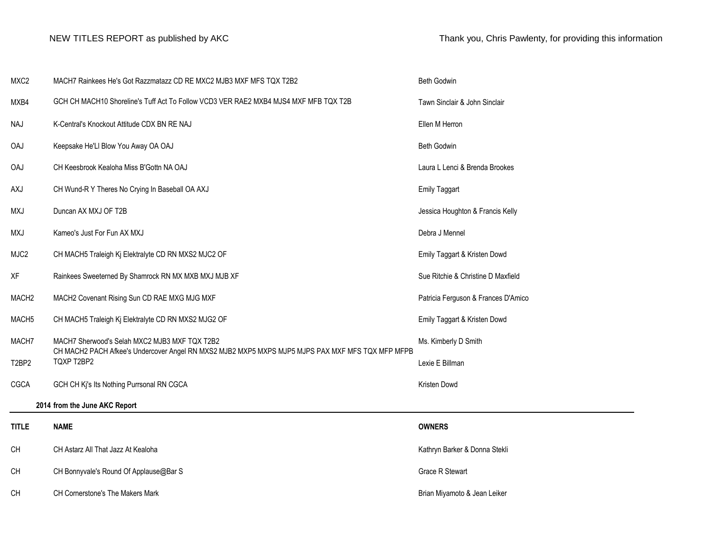| MXC <sub>2</sub> |                                | MACH7 Rainkees He's Got Razzmatazz CD RE MXC2 MJB3 MXF MFS TQX T2B2                                                                               | <b>Beth Godwin</b>                  |
|------------------|--------------------------------|---------------------------------------------------------------------------------------------------------------------------------------------------|-------------------------------------|
| MXB4             |                                | GCH CH MACH10 Shoreline's Tuff Act To Follow VCD3 VER RAE2 MXB4 MJS4 MXF MFB TQX T2B                                                              | Tawn Sinclair & John Sinclair       |
| NAJ              |                                | K-Central's Knockout Attitude CDX BN RE NAJ                                                                                                       | Ellen M Herron                      |
| <b>OAJ</b>       |                                | Keepsake He'Ll Blow You Away OA OAJ                                                                                                               | <b>Beth Godwin</b>                  |
| OAJ              |                                | CH Keesbrook Kealoha Miss B'Gottn NA OAJ                                                                                                          | Laura L Lenci & Brenda Brookes      |
| AXJ              |                                | CH Wund-R Y Theres No Crying In Baseball OA AXJ                                                                                                   | <b>Emily Taggart</b>                |
| <b>MXJ</b>       |                                | Duncan AX MXJ OF T2B                                                                                                                              | Jessica Houghton & Francis Kelly    |
| <b>MXJ</b>       |                                | Kameo's Just For Fun AX MXJ                                                                                                                       | Debra J Mennel                      |
| MJC2             |                                | CH MACH5 Traleigh Kj Elektralyte CD RN MXS2 MJC2 OF                                                                                               | Emily Taggart & Kristen Dowd        |
| XF               |                                | Rainkees Sweeterned By Shamrock RN MX MXB MXJ MJB XF                                                                                              | Sue Ritchie & Christine D Maxfield  |
|                  | MACH <sub>2</sub>              | MACH2 Covenant Rising Sun CD RAE MXG MJG MXF                                                                                                      | Patricia Ferguson & Frances D'Amico |
|                  | MACH <sub>5</sub>              | CH MACH5 Traleigh Kj Elektralyte CD RN MXS2 MJG2 OF                                                                                               | Emily Taggart & Kristen Dowd        |
|                  | MACH7                          | MACH7 Sherwood's Selah MXC2 MJB3 MXF TQX T2B2<br>CH MACH2 PACH Afkee's Undercover Angel RN MXS2 MJB2 MXP5 MXPS MJP5 MJPS PAX MXF MFS TQX MFP MFPB | Ms. Kimberly D Smith                |
|                  | T <sub>2</sub> BP <sub>2</sub> | TQXP T2BP2                                                                                                                                        | Lexie E Billman                     |
| CGCA             |                                | GCH CH Kj's Its Nothing Purrsonal RN CGCA                                                                                                         | Kristen Dowd                        |
|                  |                                | 2014 from the June AKC Report                                                                                                                     |                                     |
| <b>TITLE</b>     |                                | <b>NAME</b>                                                                                                                                       | <b>OWNERS</b>                       |
| <b>CH</b>        |                                | CH Astarz All That Jazz At Kealoha                                                                                                                | Kathryn Barker & Donna Stekli       |
| CН               |                                | CH Bonnyvale's Round Of Applause@Bar S                                                                                                            | <b>Grace R Stewart</b>              |
| <b>CH</b>        |                                | <b>CH Cornerstone's The Makers Mark</b>                                                                                                           | Brian Miyamoto & Jean Leiker        |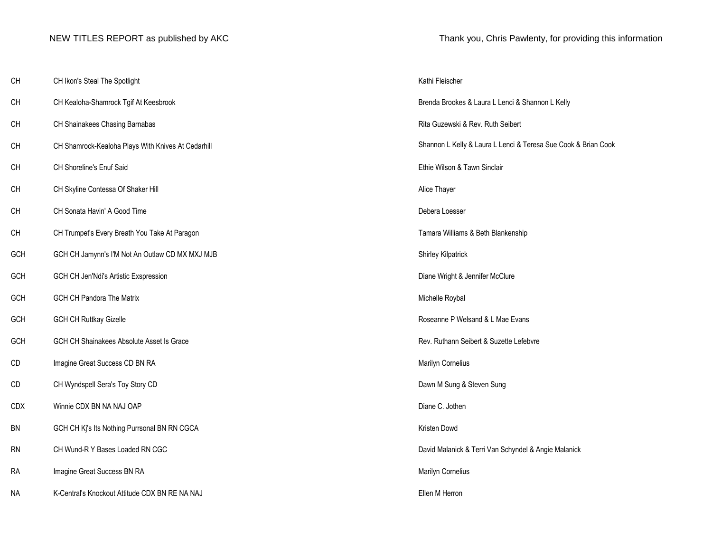| CН | CH Ikon's Steal The Spotlight<br>. | Kathi Fleischer |  |
|----|------------------------------------|-----------------|--|
|----|------------------------------------|-----------------|--|

- CH CH Kealoha-Shamrock Tgif At Keesbrook
- CH CH Shainakees Chasing Barnabas
- CH CH Shamrock-Kealoha Plays With Knives At Cedarhill
- CH CH Shoreline's Enuf Said
- CH CH Skyline Contessa Of Shaker Hill
- CH CH Sonata Havin' A Good Time
- CH CH Trumpet's Every Breath You Take At Paragon
- GCH GCH CH Jamynn's I'M Not An Outlaw CD MX MXJ MJB
- GCH GCH CH Jen'Ndi's Artistic Exspression
- GCH GCH CH Pandora The Matrix
- GCH GCH CH Ruttkay Gizelle
- GCH GCH CH Shainakees Absolute Asset Is Grace
- CD Imagine Great Success CD BN RA
- CD CH Wyndspell Sera's Toy Story CD
- CDX Winnie CDX BN NA NAJ OAP
- BN GCH CH Kj's Its Nothing Purrsonal BN RN CGCA
- RN CH Wund-R Y Bases Loaded RN CGC
- RA Imagine Great Success BN RA
- NA K-Central's Knockout Attitude CDX BN RE NA NAJ **Ellen M Herron**

NEW TITLES REPORT as published by AKC Thank you, Chris Pawlenty, for providing this information

| Kathi Fleischer                                                |
|----------------------------------------------------------------|
| Brenda Brookes & Laura L Lenci & Shannon L Kelly               |
| Rita Guzewski & Rev. Ruth Seibert                              |
| Shannon L Kelly & Laura L Lenci & Teresa Sue Cook & Brian Cook |
| Ethie Wilson & Tawn Sinclair                                   |
| Alice Thayer                                                   |
| Debera Loesser                                                 |
| Tamara Williams & Beth Blankenship                             |
| Shirley Kilpatrick                                             |
| Diane Wright & Jennifer McClure                                |
| Michelle Roybal                                                |
| Roseanne P Welsand & L Mae Evans                               |
| Rev. Ruthann Seibert & Suzette Lefebvre                        |
| Marilyn Cornelius                                              |
| Dawn M Sung & Steven Sung                                      |
| Diane C. Jothen                                                |
| Kristen Dowd                                                   |
| David Malanick & Terri Van Schyndel & Angie Malanick           |
| Marilyn Cornelius                                              |
| Flien M Herron                                                 |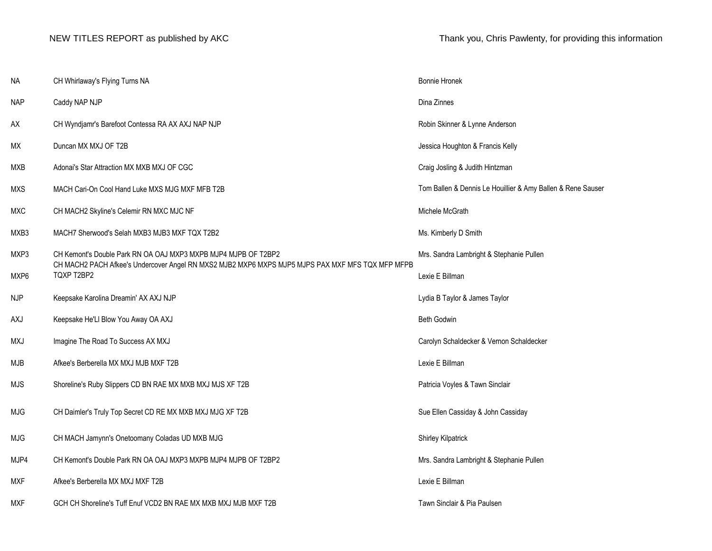| NA         | CH Whirlaway's Flying Turns NA                                                                                                                                     | <b>Bonnie Hronek</b>                                        |
|------------|--------------------------------------------------------------------------------------------------------------------------------------------------------------------|-------------------------------------------------------------|
| <b>NAP</b> | Caddy NAP NJP                                                                                                                                                      | Dina Zinnes                                                 |
| AX         | CH Wyndjamr's Barefoot Contessa RA AX AXJ NAP NJP                                                                                                                  | Robin Skinner & Lynne Anderson                              |
| МX         | Duncan MX MXJ OF T2B                                                                                                                                               | Jessica Houghton & Francis Kelly                            |
| <b>MXB</b> | Adonai's Star Attraction MX MXB MXJ OF CGC                                                                                                                         | Craig Josling & Judith Hintzman                             |
| <b>MXS</b> | MACH Cari-On Cool Hand Luke MXS MJG MXF MFB T2B                                                                                                                    | Tom Ballen & Dennis Le Houillier & Amy Ballen & Rene Sauser |
| <b>MXC</b> | CH MACH2 Skyline's Celemir RN MXC MJC NF                                                                                                                           | Michele McGrath                                             |
| MXB3       | MACH7 Sherwood's Selah MXB3 MJB3 MXF TQX T2B2                                                                                                                      | Ms. Kimberly D Smith                                        |
| MXP3       | CH Kemont's Double Park RN OA OAJ MXP3 MXPB MJP4 MJPB OF T2BP2<br>CH MACH2 PACH Afkee's Undercover Angel RN MXS2 MJB2 MXP6 MXPS MJP5 MJPS PAX MXF MFS TQX MFP MFPB | Mrs. Sandra Lambright & Stephanie Pullen                    |
| MXP6       | TQXP T2BP2                                                                                                                                                         | Lexie E Billman                                             |
| <b>NJP</b> | Keepsake Karolina Dreamin' AX AXJ NJP                                                                                                                              | Lydia B Taylor & James Taylor                               |
| AXJ        | Keepsake He'Ll Blow You Away OA AXJ                                                                                                                                | Beth Godwin                                                 |
| MXJ        | Imagine The Road To Success AX MXJ                                                                                                                                 | Carolyn Schaldecker & Vernon Schaldecker                    |
| MJB        | Afkee's Berberella MX MXJ MJB MXF T2B                                                                                                                              | Lexie E Billman                                             |
| MJS        | Shoreline's Ruby Slippers CD BN RAE MX MXB MXJ MJS XF T2B                                                                                                          | Patricia Voyles & Tawn Sinclair                             |
| MJG        | CH Daimler's Truly Top Secret CD RE MX MXB MXJ MJG XF T2B                                                                                                          | Sue Ellen Cassiday & John Cassiday                          |
| MJG        | CH MACH Jamynn's Onetoomany Coladas UD MXB MJG                                                                                                                     | Shirley Kilpatrick                                          |
| MJP4       | CH Kemont's Double Park RN OA OAJ MXP3 MXPB MJP4 MJPB OF T2BP2                                                                                                     | Mrs. Sandra Lambright & Stephanie Pullen                    |
| MXF        | Afkee's Berberella MX MXJ MXF T2B                                                                                                                                  | Lexie E Billman                                             |
| <b>MXF</b> | GCH CH Shoreline's Tuff Enuf VCD2 BN RAE MX MXB MXJ MJB MXF T2B                                                                                                    | Tawn Sinclair & Pia Paulsen                                 |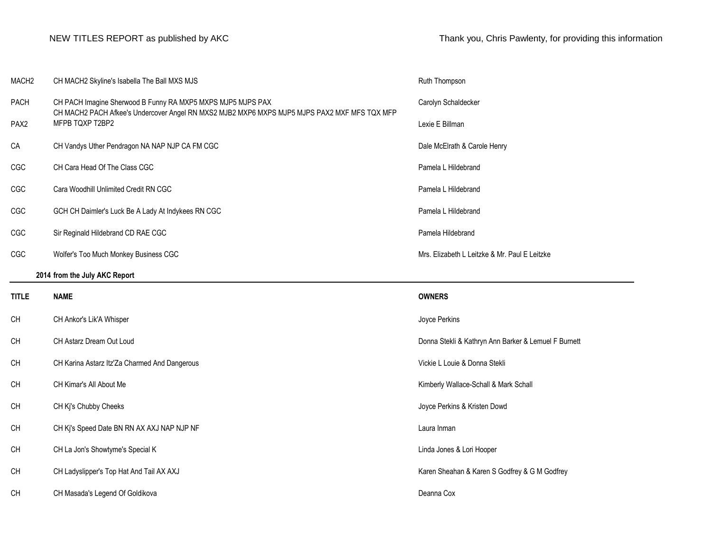| MACH <sub>2</sub> | CH MACH2 Skyline's Isabella The Ball MXS MJS                                                                                                                | Ruth Thompson                                        |
|-------------------|-------------------------------------------------------------------------------------------------------------------------------------------------------------|------------------------------------------------------|
| PACH              | CH PACH Imagine Sherwood B Funny RA MXP5 MXPS MJP5 MJPS PAX<br>CH MACH2 PACH Afkee's Undercover Angel RN MXS2 MJB2 MXP6 MXPS MJP5 MJPS PAX2 MXF MFS TQX MFP | Carolyn Schaldecker                                  |
| PAX <sub>2</sub>  | MFPB TQXP T2BP2                                                                                                                                             | Lexie E Billman                                      |
| CA                | CH Vandys Uther Pendragon NA NAP NJP CA FM CGC                                                                                                              | Dale McElrath & Carole Henry                         |
| CGC               | CH Cara Head Of The Class CGC                                                                                                                               | Pamela L Hildebrand                                  |
| CGC               | Cara Woodhill Unlimited Credit RN CGC                                                                                                                       | Pamela L Hildebrand                                  |
| CGC               | GCH CH Daimler's Luck Be A Lady At Indykees RN CGC                                                                                                          | Pamela L Hildebrand                                  |
| CGC               | Sir Reginald Hildebrand CD RAE CGC                                                                                                                          | Pamela Hildebrand                                    |
| CGC               | Wolfer's Too Much Monkey Business CGC                                                                                                                       | Mrs. Elizabeth L Leitzke & Mr. Paul E Leitzke        |
|                   | 2014 from the July AKC Report                                                                                                                               |                                                      |
|                   |                                                                                                                                                             |                                                      |
| <b>TITLE</b>      | <b>NAME</b>                                                                                                                                                 | <b>OWNERS</b>                                        |
| CH                | CH Ankor's Lik'A Whisper                                                                                                                                    | Joyce Perkins                                        |
| <b>CH</b>         | CH Astarz Dream Out Loud                                                                                                                                    | Donna Stekli & Kathryn Ann Barker & Lemuel F Burnett |
| CH                | CH Karina Astarz Itz'Za Charmed And Dangerous                                                                                                               | Vickie L Louie & Donna Stekli                        |
| <b>CH</b>         | CH Kimar's All About Me                                                                                                                                     | Kimberly Wallace-Schall & Mark Schall                |
| CH                | CH Kj's Chubby Cheeks                                                                                                                                       | Joyce Perkins & Kristen Dowd                         |
| CH                | CH Kj's Speed Date BN RN AX AXJ NAP NJP NF                                                                                                                  | Laura Inman                                          |
| <b>CH</b>         | CH La Jon's Showtyme's Special K                                                                                                                            | Linda Jones & Lori Hooper                            |
| CH                | CH Ladyslipper's Top Hat And Tail AX AXJ                                                                                                                    | Karen Sheahan & Karen S Godfrey & G M Godfrey        |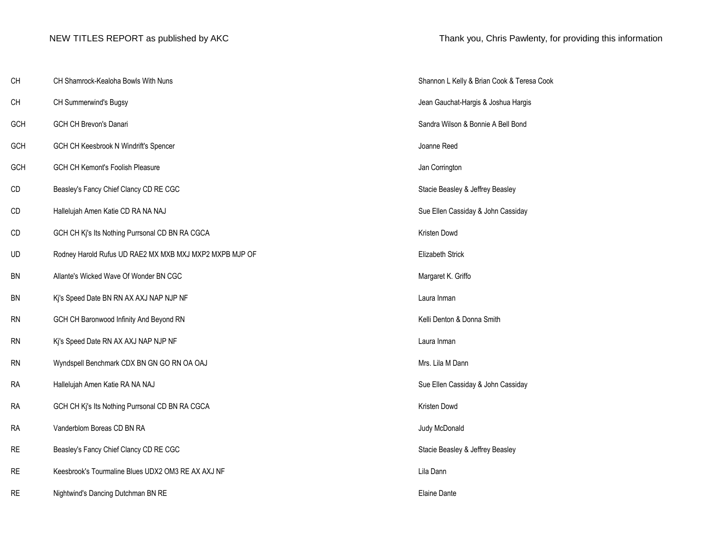| CH        | CH Shamrock-Kealoha Bowls With Nuns                     | Shannon L Kelly & Brian Cook & Teresa Cook |
|-----------|---------------------------------------------------------|--------------------------------------------|
| CH        | CH Summerwind's Bugsy                                   | Jean Gauchat-Hargis & Joshua Hargis        |
| GCH       | GCH CH Brevon's Danari                                  | Sandra Wilson & Bonnie A Bell Bond         |
| GCH       | GCH CH Keesbrook N Windrift's Spencer                   | Joanne Reed                                |
| GCH       | GCH CH Kemont's Foolish Pleasure                        | Jan Corrington                             |
| CD        | Beasley's Fancy Chief Clancy CD RE CGC                  | Stacie Beasley & Jeffrey Beasley           |
| CD        | Hallelujah Amen Katie CD RA NA NAJ                      | Sue Ellen Cassiday & John Cassiday         |
| CD        | GCH CH Kj's Its Nothing Purrsonal CD BN RA CGCA         | Kristen Dowd                               |
| UD        | Rodney Harold Rufus UD RAE2 MX MXB MXJ MXP2 MXPB MJP OF | Elizabeth Strick                           |
| BN        | Allante's Wicked Wave Of Wonder BN CGC                  | Margaret K. Griffo                         |
| BN        | Kj's Speed Date BN RN AX AXJ NAP NJP NF                 | Laura Inman                                |
| RN        | GCH CH Baronwood Infinity And Beyond RN                 | Kelli Denton & Donna Smith                 |
| RN        | Kj's Speed Date RN AX AXJ NAP NJP NF                    | Laura Inman                                |
| <b>RN</b> | Wyndspell Benchmark CDX BN GN GO RN OA OAJ              | Mrs. Lila M Dann                           |
| <b>RA</b> | Hallelujah Amen Katie RA NA NAJ                         | Sue Ellen Cassiday & John Cassiday         |
| <b>RA</b> | GCH CH Kj's Its Nothing Purrsonal CD BN RA CGCA         | Kristen Dowd                               |
| <b>RA</b> | Vanderblom Boreas CD BN RA                              | Judy McDonald                              |
| <b>RE</b> | Beasley's Fancy Chief Clancy CD RE CGC                  | Stacie Beasley & Jeffrey Beasley           |
| <b>RE</b> | Keesbrook's Tourmaline Blues UDX2 OM3 RE AX AXJ NF      | Lila Dann                                  |
| <b>RE</b> | Nightwind's Dancing Dutchman BN RE                      | Elaine Dante                               |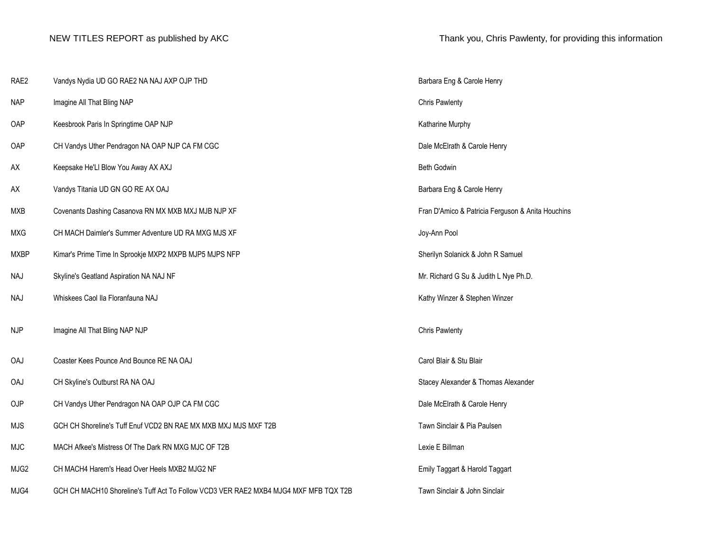| RAE2        | Vandys Nydia UD GO RAE2 NA NAJ AXP OJP THD                                           | Barbara Eng & Carole Henry                        |
|-------------|--------------------------------------------------------------------------------------|---------------------------------------------------|
| <b>NAP</b>  | Imagine All That Bling NAP                                                           | <b>Chris Pawlenty</b>                             |
| OAP         | Keesbrook Paris In Springtime OAP NJP                                                | Katharine Murphy                                  |
| OAP         | CH Vandys Uther Pendragon NA OAP NJP CA FM CGC                                       | Dale McElrath & Carole Henry                      |
| AX          | Keepsake He'Ll Blow You Away AX AXJ                                                  | <b>Beth Godwin</b>                                |
| AX          | Vandys Titania UD GN GO RE AX OAJ                                                    | Barbara Eng & Carole Henry                        |
| MXB         | Covenants Dashing Casanova RN MX MXB MXJ MJB NJP XF                                  | Fran D'Amico & Patricia Ferguson & Anita Houchins |
| <b>MXG</b>  | CH MACH Daimler's Summer Adventure UD RA MXG MJS XF                                  | Joy-Ann Pool                                      |
| <b>MXBP</b> | Kimar's Prime Time In Sprookje MXP2 MXPB MJP5 MJPS NFP                               | Sherilyn Solanick & John R Samuel                 |
| <b>NAJ</b>  | Skyline's Geatland Aspiration NA NAJ NF                                              | Mr. Richard G Su & Judith L Nye Ph.D.             |
| <b>NAJ</b>  | Whiskees Caol IIa Floranfauna NAJ                                                    | Kathy Winzer & Stephen Winzer                     |
| <b>NJP</b>  | Imagine All That Bling NAP NJP                                                       | <b>Chris Pawlenty</b>                             |
| <b>OAJ</b>  | Coaster Kees Pounce And Bounce RE NA OAJ                                             | Carol Blair & Stu Blair                           |
| OAJ         | CH Skyline's Outburst RA NA OAJ                                                      | Stacey Alexander & Thomas Alexander               |
| OJP         | CH Vandys Uther Pendragon NA OAP OJP CA FM CGC                                       | Dale McElrath & Carole Henry                      |
| <b>MJS</b>  | GCH CH Shoreline's Tuff Enuf VCD2 BN RAE MX MXB MXJ MJS MXF T2B                      | Tawn Sinclair & Pia Paulsen                       |
| <b>MJC</b>  | MACH Afkee's Mistress Of The Dark RN MXG MJC OF T2B                                  | Lexie E Billman                                   |
| MJG2        | CH MACH4 Harem's Head Over Heels MXB2 MJG2 NF                                        | Emily Taggart & Harold Taggart                    |
| MJG4        | GCH CH MACH10 Shoreline's Tuff Act To Follow VCD3 VER RAE2 MXB4 MJG4 MXF MFB TQX T2B | Tawn Sinclair & John Sinclair                     |
|             |                                                                                      |                                                   |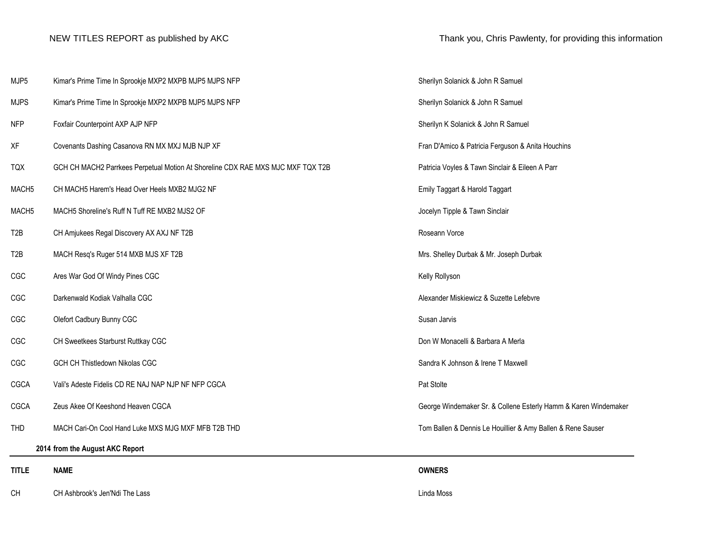| CН                | CH Ashbrook's Jen'Ndi The Lass                                                  | Linda Moss      |
|-------------------|---------------------------------------------------------------------------------|-----------------|
| <b>TITLE</b>      | <b>NAME</b>                                                                     | <b>OWNERS</b>   |
|                   | 2014 from the August AKC Report                                                 |                 |
| <b>THD</b>        | MACH Cari-On Cool Hand Luke MXS MJG MXF MFB T2B THD                             | Tom Ballen & D  |
| CGCA              | Zeus Akee Of Keeshond Heaven CGCA                                               | George Winder   |
| CGCA              | Vali's Adeste Fidelis CD RE NAJ NAP NJP NF NFP CGCA                             | Pat Stolte      |
| CGC               | GCH CH Thistledown Nikolas CGC                                                  | Sandra K Johns  |
| CGC               | CH Sweetkees Starburst Ruttkay CGC                                              | Don W Monace    |
| CGC               | Olefort Cadbury Bunny CGC                                                       | Susan Jarvis    |
| CGC               | Darkenwald Kodiak Valhalla CGC                                                  | Alexander Misk  |
| CGC               | Ares War God Of Windy Pines CGC                                                 | Kelly Rollyson  |
| T2B               | MACH Resq's Ruger 514 MXB MJS XF T2B                                            | Mrs. Shelley Du |
| T <sub>2</sub> B  | CH Amjukees Regal Discovery AX AXJ NF T2B                                       | Roseann Vorce   |
| MACH <sub>5</sub> | MACH5 Shoreline's Ruff N Tuff RE MXB2 MJS2 OF                                   | Jocelyn Tipple  |
| MACH <sub>5</sub> | CH MACH5 Harem's Head Over Heels MXB2 MJG2 NF                                   | Emily Taggart & |
| <b>TQX</b>        | GCH CH MACH2 Parrkees Perpetual Motion At Shoreline CDX RAE MXS MJC MXF TQX T2B | Patricia Voyles |
| XF                | Covenants Dashing Casanova RN MX MXJ MJB NJP XF                                 | Fran D'Amico 8  |
| <b>NFP</b>        | Foxfair Counterpoint AXP AJP NFP                                                | Sherilyn K Sola |
| <b>MJPS</b>       | Kimar's Prime Time In Sprookje MXP2 MXPB MJP5 MJPS NFP                          | Sherilyn Solani |
| MJP <sub>5</sub>  | Kimar's Prime Time In Sprookje MXP2 MXPB MJP5 MJPS NFP                          | Sherilyn Solani |

Sherilyn Solanick & John R Samuel Sherilyn Solanick & John R Samuel Sherilyn K Solanick & John R Samuel Fran D'Amico & Patricia Ferguson & Anita Houchins Patricia Voyles & Tawn Sinclair & Eileen A Parr Emily Taggart & Harold Taggart Jocelyn Tipple & Tawn Sinclair Mrs. Shelley Durbak & Mr. Joseph Durbak Alexander Miskiewicz & Suzette Lefebvre Don W Monacelli & Barbara A Merla Sandra K Johnson & Irene T Maxwell George Windemaker Sr. & Collene Esterly Hamm & Karen Windemaker Tom Ballen & Dennis Le Houillier & Amy Ballen & Rene Sauser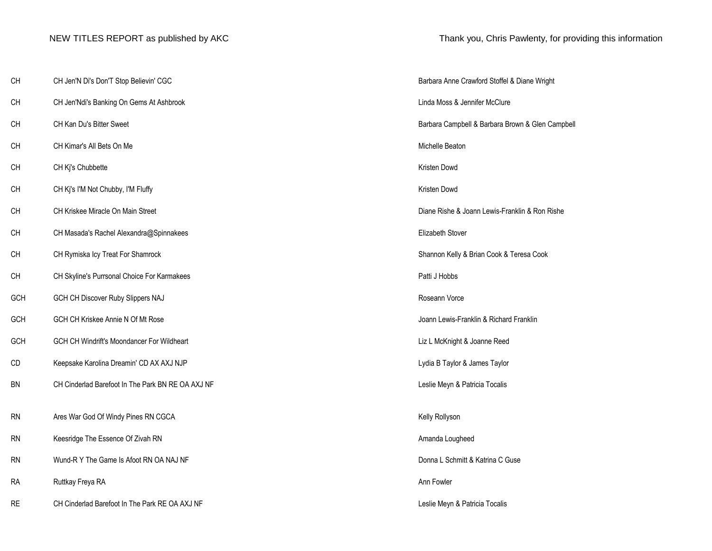| CH        | CH Jen'N Di's Don'T Stop Believin' CGC            | Barbara Anne Crawford Stoffel & Diane Wright     |
|-----------|---------------------------------------------------|--------------------------------------------------|
| CH        | CH Jen'Ndi's Banking On Gems At Ashbrook          | Linda Moss & Jennifer McClure                    |
| <b>CH</b> | CH Kan Du's Bitter Sweet                          | Barbara Campbell & Barbara Brown & Glen Campbell |
| <b>CH</b> | CH Kimar's All Bets On Me                         | Michelle Beaton                                  |
| <b>CH</b> | CH Kj's Chubbette                                 | Kristen Dowd                                     |
| CH        | CH Kj's I'M Not Chubby, I'M Fluffy                | Kristen Dowd                                     |
| <b>CH</b> | CH Kriskee Miracle On Main Street                 | Diane Rishe & Joann Lewis-Franklin & Ron Rishe   |
| СH        | CH Masada's Rachel Alexandra@Spinnakees           | Elizabeth Stover                                 |
| CH        | CH Rymiska Icy Treat For Shamrock                 | Shannon Kelly & Brian Cook & Teresa Cook         |
| <b>CH</b> | CH Skyline's Purrsonal Choice For Karmakees       | Patti J Hobbs                                    |
| GCH       | GCH CH Discover Ruby Slippers NAJ                 | Roseann Vorce                                    |
| GCH       | GCH CH Kriskee Annie N Of Mt Rose                 | Joann Lewis-Franklin & Richard Franklin          |
| GCH       | GCH CH Windrift's Moondancer For Wildheart        | Liz L McKnight & Joanne Reed                     |
| CD        | Keepsake Karolina Dreamin' CD AX AXJ NJP          | Lydia B Taylor & James Taylor                    |
| <b>BN</b> | CH Cinderlad Barefoot In The Park BN RE OA AXJ NF | Leslie Meyn & Patricia Tocalis                   |
| <b>RN</b> | Ares War God Of Windy Pines RN CGCA               | Kelly Rollyson                                   |
| <b>RN</b> | Keesridge The Essence Of Zivah RN                 | Amanda Lougheed                                  |
| <b>RN</b> | Wund-R Y The Game Is Afoot RN OA NAJ NF           | Donna L Schmitt & Katrina C Guse                 |
| <b>RA</b> | Ruttkay Freya RA                                  | Ann Fowler                                       |
| <b>RE</b> | CH Cinderlad Barefoot In The Park RE OA AXJ NF    | Leslie Meyn & Patricia Tocalis                   |

| Barbara Anne Crawford Stoffel & Diane Wright     |
|--------------------------------------------------|
| Linda Moss & Jennifer McClure                    |
| Barbara Campbell & Barbara Brown & Glen Campbell |
| Michelle Beaton                                  |
| Kristen Dowd                                     |
| Kristen Dowd                                     |
| Diane Rishe & Joann Lewis-Franklin & Ron Rishe   |
| <b>Elizabeth Stover</b>                          |
| Shannon Kelly & Brian Cook & Teresa Cook         |
| Patti J Hobbs                                    |
| Roseann Vorce                                    |
| Joann Lewis-Franklin & Richard Franklin          |
| Liz L McKnight & Joanne Reed                     |
| Lydia B Taylor & James Taylor                    |
| Leslie Meyn & Patricia Tocalis                   |
| Kelly Rollyson                                   |
| Amanda Lougheed                                  |
| Donna L Schmitt & Katrina C Guse                 |
| Ann Fowler                                       |
| Logio Maun <sup>0</sup> Detricio Topolio         |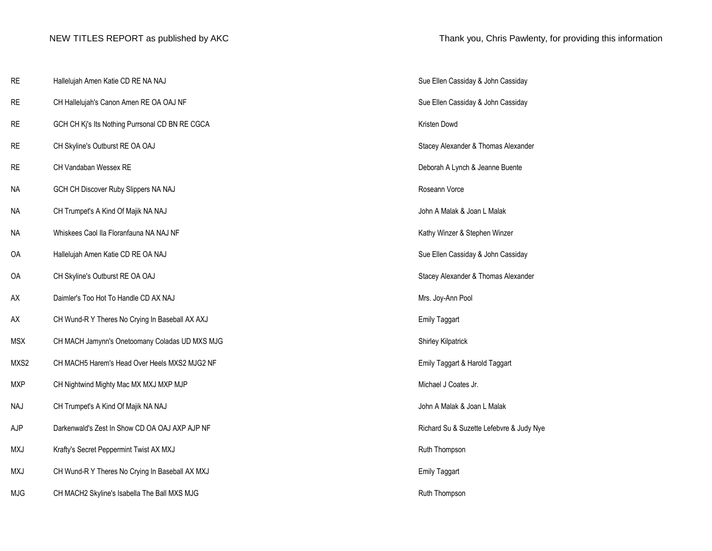| <b>RE</b>  | Hallelujah Amen Katie CD RE NA NAJ              | Sue Ellen Cassiday & John Cassiday       |
|------------|-------------------------------------------------|------------------------------------------|
| <b>RE</b>  | CH Hallelujah's Canon Amen RE OA OAJ NF         | Sue Ellen Cassiday & John Cassiday       |
| <b>RE</b>  | GCH CH Kj's Its Nothing Purrsonal CD BN RE CGCA | Kristen Dowd                             |
| <b>RE</b>  | CH Skyline's Outburst RE OA OAJ                 | Stacey Alexander & Thomas Alexander      |
| <b>RE</b>  | CH Vandaban Wessex RE                           | Deborah A Lynch & Jeanne Buente          |
| <b>NA</b>  | GCH CH Discover Ruby Slippers NA NAJ            | Roseann Vorce                            |
| <b>NA</b>  | CH Trumpet's A Kind Of Majik NA NAJ             | John A Malak & Joan L Malak              |
| <b>NA</b>  | Whiskees Caol IIa Floranfauna NA NAJ NF         | Kathy Winzer & Stephen Winzer            |
| 0A         | Hallelujah Amen Katie CD RE OA NAJ              | Sue Ellen Cassiday & John Cassiday       |
| OA         | CH Skyline's Outburst RE OA OAJ                 | Stacey Alexander & Thomas Alexander      |
| AX         | Daimler's Too Hot To Handle CD AX NAJ           | Mrs. Joy-Ann Pool                        |
| AX         | CH Wund-R Y Theres No Crying In Baseball AX AXJ | <b>Emily Taggart</b>                     |
| <b>MSX</b> | CH MACH Jamynn's Onetoomany Coladas UD MXS MJG  | Shirley Kilpatrick                       |
| MXS2       | CH MACH5 Harem's Head Over Heels MXS2 MJG2 NF   | Emily Taggart & Harold Taggart           |
| <b>MXP</b> | CH Nightwind Mighty Mac MX MXJ MXP MJP          | Michael J Coates Jr.                     |
| <b>NAJ</b> | CH Trumpet's A Kind Of Majik NA NAJ             | John A Malak & Joan L Malak              |
| AJP        | Darkenwald's Zest In Show CD OA OAJ AXP AJP NF  | Richard Su & Suzette Lefebvre & Judy Nye |
| <b>MXJ</b> | Krafty's Secret Peppermint Twist AX MXJ         | Ruth Thompson                            |
| <b>MXJ</b> | CH Wund-R Y Theres No Crying In Baseball AX MXJ | <b>Emily Taggart</b>                     |
| <b>MJG</b> | CH MACH2 Skyline's Isabella The Ball MXS MJG    | Ruth Thompson                            |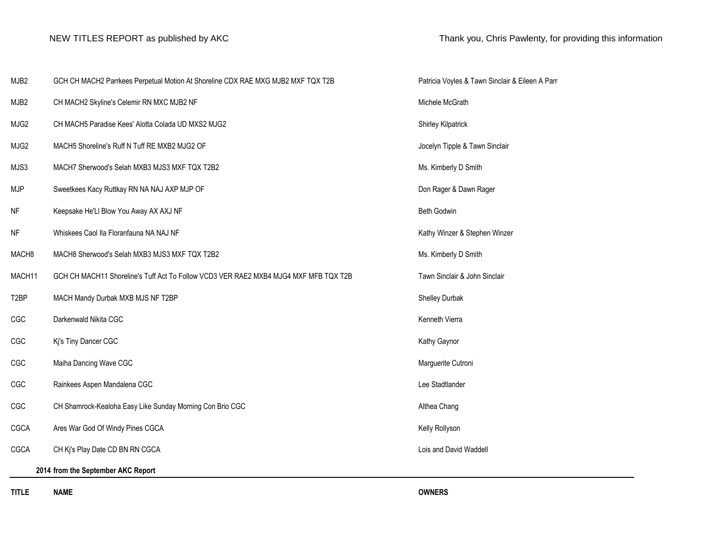| MJB2              | GCH CH MACH2 Parrkees Perpetual Motion At Shoreline CDX RAE MXG MJB2 MXF TQX T2B     | Patricia Voyles   |  |  |
|-------------------|--------------------------------------------------------------------------------------|-------------------|--|--|
| MJB <sub>2</sub>  | CH MACH2 Skyline's Celemir RN MXC MJB2 NF                                            | Michele McGrat    |  |  |
| MJG2              | CH MACH5 Paradise Kees' Alotta Colada UD MXS2 MJG2                                   | Shirley Kilpatric |  |  |
| MJG <sub>2</sub>  | MACH5 Shoreline's Ruff N Tuff RE MXB2 MJG2 OF                                        | Jocelyn Tipple &  |  |  |
| MJS3              | MACH7 Sherwood's Selah MXB3 MJS3 MXF TQX T2B2                                        | Ms. Kimberly D    |  |  |
| <b>MJP</b>        | Sweetkees Kacy Ruttkay RN NA NAJ AXP MJP OF                                          | Don Rager & Da    |  |  |
| <b>NF</b>         | Keepsake He'Ll Blow You Away AX AXJ NF                                               | Beth Godwin       |  |  |
| <b>NF</b>         | Whiskees Caol IIa Floranfauna NA NAJ NF                                              | Kathy Winzer &    |  |  |
| MACH <sub>8</sub> | MACH8 Sherwood's Selah MXB3 MJS3 MXF TQX T2B2                                        | Ms. Kimberly D    |  |  |
| MACH11            | GCH CH MACH11 Shoreline's Tuff Act To Follow VCD3 VER RAE2 MXB4 MJG4 MXF MFB TQX T2B | Tawn Sinclair &   |  |  |
| T <sub>2</sub> BP | MACH Mandy Durbak MXB MJS NF T2BP                                                    | Shelley Durbak    |  |  |
| CGC               | Darkenwald Nikita CGC                                                                | Kenneth Vierra    |  |  |
| CGC               | Kj's Tiny Dancer CGC                                                                 | Kathy Gaynor      |  |  |
| CGC               | Maiha Dancing Wave CGC                                                               | Marguerite Cutr   |  |  |
| CGC               | Rainkees Aspen Mandalena CGC                                                         | Lee Stadtlander   |  |  |
| CGC               | CH Shamrock-Kealoha Easy Like Sunday Morning Con Brio CGC                            | Althea Chang      |  |  |
| <b>CGCA</b>       | Ares War God Of Windy Pines CGCA                                                     | Kelly Rollyson    |  |  |
| CGCA              | CH Ki's Play Date CD BN RN CGCA                                                      | Lois and David    |  |  |
|                   | 2014 from the September AKC Report                                                   |                   |  |  |
|                   |                                                                                      |                   |  |  |

Patricia Voyles & Tawn Sinclair & Eileen A Parr Michele McGrath Shirley Kilpatrick Jocelyn Tipple & Tawn Sinclair Ms. Kimberly D Smith Don Rager & Dawn Rager Kathy Winzer & Stephen Winzer Ms. Kimberly D Smith Tawn Sinclair & John Sinclair Shelley Durbak Marguerite Cutroni

Lois and David Waddell

**TITLE NAME OWNERS**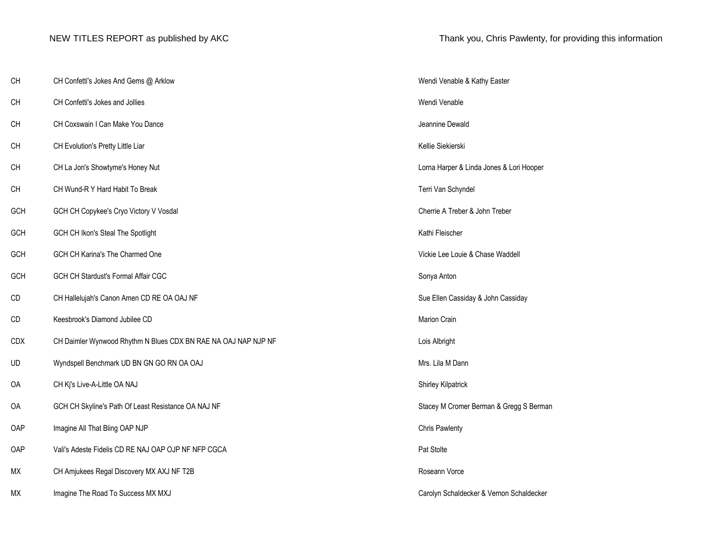| CH         | CH Confetti's Jokes And Gems @ Arklow                          | Wendi Venable & Kathy Easter             |
|------------|----------------------------------------------------------------|------------------------------------------|
| <b>CH</b>  | CH Confetti's Jokes and Jollies                                | Wendi Venable                            |
| CH         | CH Coxswain I Can Make You Dance                               | Jeannine Dewald                          |
| CH         | CH Evolution's Pretty Little Liar                              | Kellie Siekierski                        |
| <b>CH</b>  | CH La Jon's Showtyme's Honey Nut                               | Lorna Harper & Linda Jones & Lori Hooper |
| CH         | CH Wund-R Y Hard Habit To Break                                | Terri Van Schyndel                       |
| GCH        | GCH CH Copykee's Cryo Victory V Vosdal                         | Cherrie A Treber & John Treber           |
| GCH        | GCH CH Ikon's Steal The Spotlight                              | Kathi Fleischer                          |
| GCH        | GCH CH Karina's The Charmed One                                | Vickie Lee Louie & Chase Waddell         |
| GCH        | GCH CH Stardust's Formal Affair CGC                            | Sonya Anton                              |
| CD         | CH Hallelujah's Canon Amen CD RE OA OAJ NF                     | Sue Ellen Cassiday & John Cassiday       |
| CD         | Keesbrook's Diamond Jubilee CD                                 | Marion Crain                             |
| <b>CDX</b> | CH Daimler Wynwood Rhythm N Blues CDX BN RAE NA OAJ NAP NJP NF | Lois Albright                            |
| <b>UD</b>  | Wyndspell Benchmark UD BN GN GO RN OA OAJ                      | Mrs. Lila M Dann                         |
| OA         | CH Kj's Live-A-Little OA NAJ                                   | Shirley Kilpatrick                       |
| OA         | GCH CH Skyline's Path Of Least Resistance OA NAJ NF            | Stacey M Cromer Berman & Gregg S Berman  |
| OAP        | Imagine All That Bling OAP NJP                                 | <b>Chris Pawlenty</b>                    |
| OAP        | Vali's Adeste Fidelis CD RE NAJ OAP OJP NF NFP CGCA            | Pat Stolte                               |
| МX         | CH Amjukees Regal Discovery MX AXJ NF T2B                      | Roseann Vorce                            |
| МX         | Imagine The Road To Success MX MXJ                             | Carolyn Schaldecker & Vernon Schaldecker |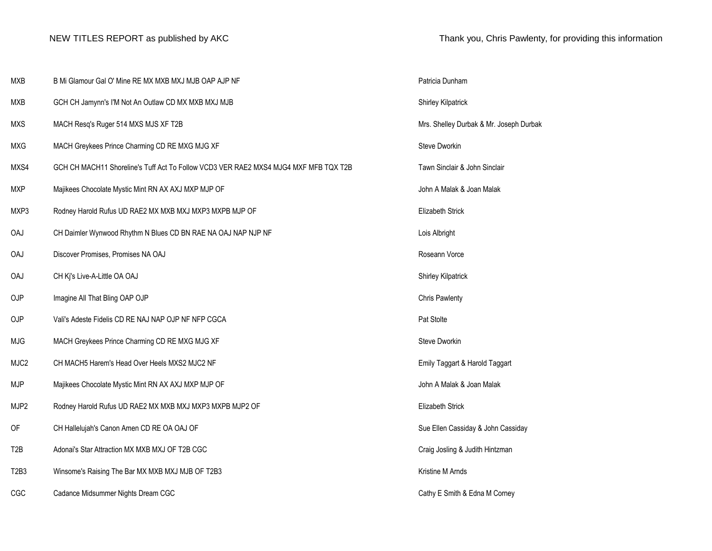| <b>MXB</b>                    | B Mi Glamour Gal O' Mine RE MX MXB MXJ MJB OAP AJP NF                                | Patricia Dunham                         |
|-------------------------------|--------------------------------------------------------------------------------------|-----------------------------------------|
| <b>MXB</b>                    | GCH CH Jamynn's I'M Not An Outlaw CD MX MXB MXJ MJB                                  | <b>Shirley Kilpatrick</b>               |
| <b>MXS</b>                    | MACH Resq's Ruger 514 MXS MJS XF T2B                                                 | Mrs. Shelley Durbak & Mr. Joseph Durbak |
| <b>MXG</b>                    | MACH Greykees Prince Charming CD RE MXG MJG XF                                       | Steve Dworkin                           |
| MXS4                          | GCH CH MACH11 Shoreline's Tuff Act To Follow VCD3 VER RAE2 MXS4 MJG4 MXF MFB TQX T2B | Tawn Sinclair & John Sinclair           |
| <b>MXP</b>                    | Majikees Chocolate Mystic Mint RN AX AXJ MXP MJP OF                                  | John A Malak & Joan Malak               |
| MXP3                          | Rodney Harold Rufus UD RAE2 MX MXB MXJ MXP3 MXPB MJP OF                              | Elizabeth Strick                        |
| OAJ                           | CH Daimler Wynwood Rhythm N Blues CD BN RAE NA OAJ NAP NJP NF                        | Lois Albright                           |
| OAJ                           | Discover Promises, Promises NA OAJ                                                   | Roseann Vorce                           |
| OAJ                           | CH Kj's Live-A-Little OA OAJ                                                         | Shirley Kilpatrick                      |
| OJP                           | Imagine All That Bling OAP OJP                                                       | <b>Chris Pawlenty</b>                   |
| OJP                           | Vali's Adeste Fidelis CD RE NAJ NAP OJP NF NFP CGCA                                  | Pat Stolte                              |
| <b>MJG</b>                    | MACH Greykees Prince Charming CD RE MXG MJG XF                                       | Steve Dworkin                           |
| MJC <sub>2</sub>              | CH MACH5 Harem's Head Over Heels MXS2 MJC2 NF                                        | Emily Taggart & Harold Taggart          |
| <b>MJP</b>                    | Majikees Chocolate Mystic Mint RN AX AXJ MXP MJP OF                                  | John A Malak & Joan Malak               |
| MJP2                          | Rodney Harold Rufus UD RAE2 MX MXB MXJ MXP3 MXPB MJP2 OF                             | Elizabeth Strick                        |
| OF                            | CH Hallelujah's Canon Amen CD RE OA OAJ OF                                           | Sue Ellen Cassiday & John Cassiday      |
| T <sub>2</sub> B              | Adonai's Star Attraction MX MXB MXJ OF T2B CGC                                       | Craig Josling & Judith Hintzman         |
| T <sub>2</sub> B <sub>3</sub> | Winsome's Raising The Bar MX MXB MXJ MJB OF T2B3                                     | Kristine M Arnds                        |
| CGC                           | Cadance Midsummer Nights Dream CGC                                                   | Cathy E Smith & Edna M Corney           |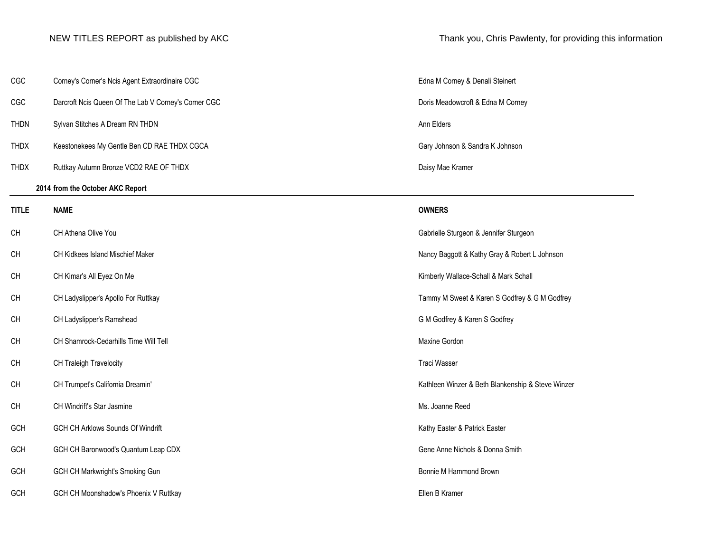| CGC          | Corney's Corner's Ncis Agent Extraordinaire CGC      | Edna M Corney   |
|--------------|------------------------------------------------------|-----------------|
| CGC          | Darcroft Ncis Queen Of The Lab V Corney's Corner CGC | Doris Meadowd   |
| <b>THDN</b>  | Sylvan Stitches A Dream RN THDN                      | Ann Elders      |
| <b>THDX</b>  | Keestonekees My Gentle Ben CD RAE THDX CGCA          | Gary Johnson &  |
| <b>THDX</b>  | Ruttkay Autumn Bronze VCD2 RAE OF THDX               | Daisy Mae Krar  |
|              | 2014 from the October AKC Report                     |                 |
| <b>TITLE</b> | <b>NAME</b>                                          | <b>OWNERS</b>   |
| CH           | CH Athena Olive You                                  | Gabrielle Sturg |
| CH           | CH Kidkees Island Mischief Maker                     | Nancy Baggott   |
| CH           | CH Kimar's All Eyez On Me                            | Kimberly Walla  |
| CH           | CH Ladyslipper's Apollo For Ruttkay                  | Tammy M Swe     |
| CH           | CH Ladyslipper's Ramshead                            | G M Godfrey &   |
| CH           | CH Shamrock-Cedarhills Time Will Tell                | Maxine Gordon   |
| CH           | CH Traleigh Travelocity                              | Traci Wasser    |
| <b>CH</b>    | CH Trumpet's California Dreamin'                     | Kathleen Winze  |
| CH           | CH Windrift's Star Jasmine                           | Ms. Joanne Re   |
| GCH          | GCH CH Arklows Sounds Of Windrift                    | Kathy Easter &  |
| GCH          | GCH CH Baronwood's Quantum Leap CDX                  | Gene Anne Nic   |
| GCH          | GCH CH Markwright's Smoking Gun                      | Bonnie M Hamı   |
| GCH          | GCH CH Moonshadow's Phoenix V Ruttkay                | Ellen B Kramer  |

NEW TITLES REPORT as published by AKC Thank you, Chris Pawlenty, for providing this information

Edna M Corney & Denali Steinert

Doris Meadowcroft & Edna M Corney

Gary Johnson & Sandra K Johnson

Daisy Mae Kramer

Gabrielle Sturgeon & Jennifer Sturgeon

Nancy Baggott & Kathy Gray & Robert L Johnson

Kimberly Wallace-Schall & Mark Schall

Tammy M Sweet & Karen S Godfrey & G M Godfrey

G M Godfrey & Karen S Godfrey

Kathleen Winzer & Beth Blankenship & Steve Winzer

Ms. Joanne Reed

Kathy Easter & Patrick Easter

Gene Anne Nichols & Donna Smith

Bonnie M Hammond Brown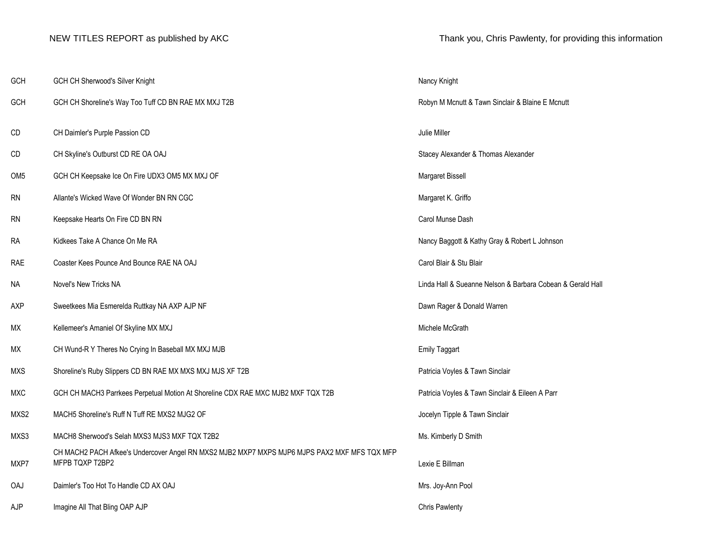### NEW TITLES REPORT as published by AKC Thank you, Chris Pawlenty, for providing this information

| GCH             | GCH CH Sherwood's Silver Knight                                                                                 | Nancy Knight          |
|-----------------|-----------------------------------------------------------------------------------------------------------------|-----------------------|
| <b>GCH</b>      | GCH CH Shoreline's Way Too Tuff CD BN RAE MX MXJ T2B                                                            | Robyn M Mcnutt &      |
| CD              | CH Daimler's Purple Passion CD                                                                                  | Julie Miller          |
| CD              | CH Skyline's Outburst CD RE OA OAJ                                                                              | Stacey Alexander      |
| OM <sub>5</sub> | GCH CH Keepsake Ice On Fire UDX3 OM5 MX MXJ OF                                                                  | Margaret Bissell      |
| <b>RN</b>       | Allante's Wicked Wave Of Wonder BN RN CGC                                                                       | Margaret K. Griffo    |
| <b>RN</b>       | Keepsake Hearts On Fire CD BN RN                                                                                | Carol Munse Dash      |
| <b>RA</b>       | Kidkees Take A Chance On Me RA                                                                                  | Nancy Baggott & K     |
| <b>RAE</b>      | Coaster Kees Pounce And Bounce RAE NA OAJ                                                                       | Carol Blair & Stu B   |
| NA              | Novel's New Tricks NA                                                                                           | Linda Hall & Suear    |
| <b>AXP</b>      | Sweetkees Mia Esmerelda Ruttkay NA AXP AJP NF                                                                   | Dawn Rager & Dor      |
| МX              | Kellemeer's Amaniel Of Skyline MX MXJ                                                                           | Michele McGrath       |
| МX              | CH Wund-R Y Theres No Crying In Baseball MX MXJ MJB                                                             | <b>Emily Taggart</b>  |
| <b>MXS</b>      | Shoreline's Ruby Slippers CD BN RAE MX MXS MXJ MJS XF T2B                                                       | Patricia Voyles & 1   |
| <b>MXC</b>      | GCH CH MACH3 Parrkees Perpetual Motion At Shoreline CDX RAE MXC MJB2 MXF TQX T2B                                | Patricia Voyles & 1   |
| MXS2            | MACH5 Shoreline's Ruff N Tuff RE MXS2 MJG2 OF                                                                   | Jocelyn Tipple & T    |
| MXS3            | MACH8 Sherwood's Selah MXS3 MJS3 MXF TQX T2B2                                                                   | Ms. Kimberly D Sn     |
| MXP7            | CH MACH2 PACH Afkee's Undercover Angel RN MXS2 MJB2 MXP7 MXPS MJP6 MJPS PAX2 MXF MFS TQX MFP<br>MFPB TQXP T2BP2 | Lexie E Billman       |
| <b>OAJ</b>      | Daimler's Too Hot To Handle CD AX OAJ                                                                           | Mrs. Joy-Ann Pool     |
| AJP             | Imagine All That Bling OAP AJP                                                                                  | <b>Chris Pawlenty</b> |

Robyn M Mcnutt & Tawn Sinclair & Blaine E Mcnutt Stacey Alexander & Thomas Alexander Margaret Bissell Margaret K. Griffo Nancy Baggott & Kathy Gray & Robert L Johnson Carol Blair & Stu Blair Linda Hall & Sueanne Nelson & Barbara Cobean & Gerald Hall Dawn Rager & Donald Warren Patricia Voyles & Tawn Sinclair 2B **CH** MACH3 Patricia Voyles & Tawn Sinclair & Eileen A Parr Jocelyn Tipple & Tawn Sinclair Ms. Kimberly D Smith Lexie E Billman Mrs. Joy-Ann Pool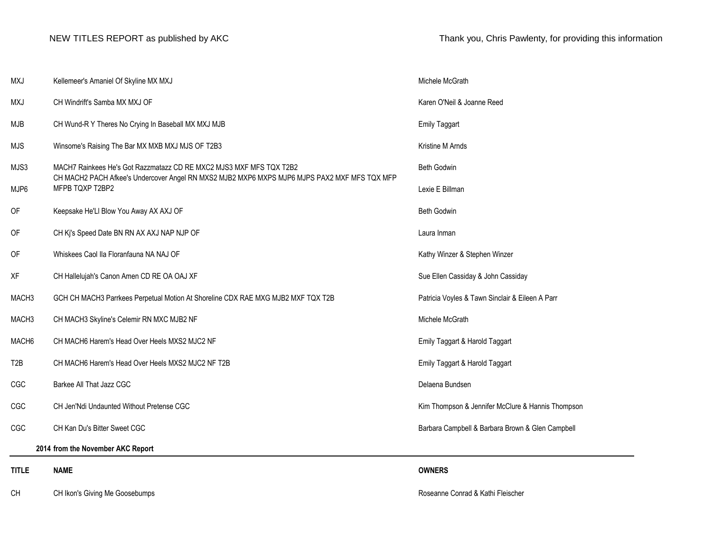| <b>TITLE</b>      | <b>NAME</b>                                                                                                     | <b>OWNERS</b>                                     |
|-------------------|-----------------------------------------------------------------------------------------------------------------|---------------------------------------------------|
|                   | 2014 from the November AKC Report                                                                               |                                                   |
| CGC               | CH Kan Du's Bitter Sweet CGC                                                                                    | Barbara Campbell & Barbara Brown & Glen Campbell  |
| CGC               | CH Jen'Ndi Undaunted Without Pretense CGC                                                                       | Kim Thompson & Jennifer McClure & Hannis Thompson |
| CGC               | Barkee All That Jazz CGC                                                                                        | Delaena Bundsen                                   |
| T <sub>2</sub> B  | CH MACH6 Harem's Head Over Heels MXS2 MJC2 NF T2B                                                               | Emily Taggart & Harold Taggart                    |
| MACH6             | CH MACH6 Harem's Head Over Heels MXS2 MJC2 NF                                                                   | Emily Taggart & Harold Taggart                    |
| MACH <sub>3</sub> | CH MACH3 Skyline's Celemir RN MXC MJB2 NF                                                                       | Michele McGrath                                   |
| MACH <sub>3</sub> | GCH CH MACH3 Parrkees Perpetual Motion At Shoreline CDX RAE MXG MJB2 MXF TQX T2B                                | Patricia Voyles & Tawn Sinclair & Eileen A Parr   |
| XF                | CH Hallelujah's Canon Amen CD RE OA OAJ XF                                                                      | Sue Ellen Cassiday & John Cassiday                |
| OF                | Whiskees Caol IIa Floranfauna NA NAJ OF                                                                         | Kathy Winzer & Stephen Winzer                     |
| OF                | CH Kj's Speed Date BN RN AX AXJ NAP NJP OF                                                                      | Laura Inman                                       |
| OF                | Keepsake He'Ll Blow You Away AX AXJ OF                                                                          | Beth Godwin                                       |
| MJP6              | CH MACH2 PACH Afkee's Undercover Angel RN MXS2 MJB2 MXP6 MXPS MJP6 MJPS PAX2 MXF MFS TQX MFP<br>MFPB TQXP T2BP2 | Lexie E Billman                                   |
| MJS3              | MACH7 Rainkees He's Got Razzmatazz CD RE MXC2 MJS3 MXF MFS TQX T2B2                                             | Beth Godwin                                       |
| <b>MJS</b>        | Winsome's Raising The Bar MX MXB MXJ MJS OF T2B3                                                                | Kristine M Arnds                                  |
| MJB               | CH Wund-R Y Theres No Crying In Baseball MX MXJ MJB                                                             | <b>Emily Taggart</b>                              |
| MXJ               | CH Windrift's Samba MX MXJ OF                                                                                   | Karen O'Neil & Joanne Reed                        |
| MXJ               | Kellemeer's Amaniel Of Skyline MX MXJ                                                                           | Michele McGrath                                   |

CH CH Ikon's Giving Me Goosebumps **Roseanne Conrad & Kathi Fleischer** Roseanne Conrad & Kathi Fleischer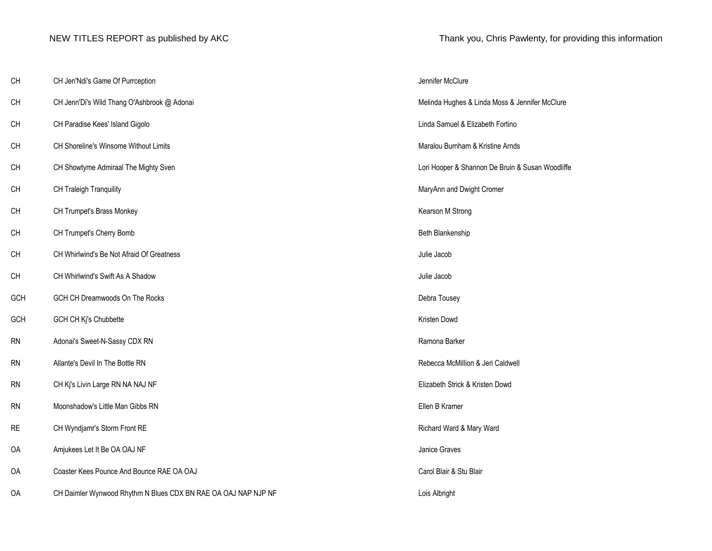| CH        | CH Jen'Ndi's Game Of Purrception                               | Jennifer McClure                                 |
|-----------|----------------------------------------------------------------|--------------------------------------------------|
| CH        | CH Jenn'Di's Wild Thang O'Ashbrook @ Adonai                    | Melinda Hughes & Linda Moss & Jennifer McClure   |
| CH        | CH Paradise Kees' Island Gigolo                                | Linda Samuel & Elizabeth Fortino                 |
| CH        | CH Shoreline's Winsome Without Limits                          | Maralou Burnham & Kristine Arnds                 |
| CH        | CH Showtyme Admiraal The Mighty Sven                           | Lori Hooper & Shannon De Bruin & Susan Woodliffe |
| CH        | CH Traleigh Tranquility                                        | MaryAnn and Dwight Cromer                        |
| CH        | CH Trumpet's Brass Monkey                                      | Kearson M Strong                                 |
| CH        | CH Trumpet's Cherry Bomb                                       | Beth Blankenship                                 |
| CH        | CH Whirlwind's Be Not Afraid Of Greatness                      | Julie Jacob                                      |
| CH        | CH Whirlwind's Swift As A Shadow                               | Julie Jacob                                      |
| GCH       | GCH CH Dreamwoods On The Rocks                                 | Debra Tousey                                     |
| GCH       | GCH CH Kj's Chubbette                                          | Kristen Dowd                                     |
| <b>RN</b> | Adonai's Sweet-N-Sassy CDX RN                                  | Ramona Barker                                    |
| <b>RN</b> | Allante's Devil In The Bottle RN                               | Rebecca McMillion & Jeri Caldwell                |
| <b>RN</b> | CH Kj's Livin Large RN NA NAJ NF                               | Elizabeth Strick & Kristen Dowd                  |
| <b>RN</b> | Moonshadow's Little Man Gibbs RN                               | Ellen B Kramer                                   |
| <b>RE</b> | CH Wyndjamr's Storm Front RE                                   | Richard Ward & Mary Ward                         |
| OA        | Amjukees Let It Be OA OAJ NF                                   | Janice Graves                                    |
| 0A        | Coaster Kees Pounce And Bounce RAE OA OAJ                      | Carol Blair & Stu Blair                          |
| <b>OA</b> | CH Daimler Wynwood Rhythm N Blues CDX BN RAE OA OAJ NAP NJP NF | Lois Albright                                    |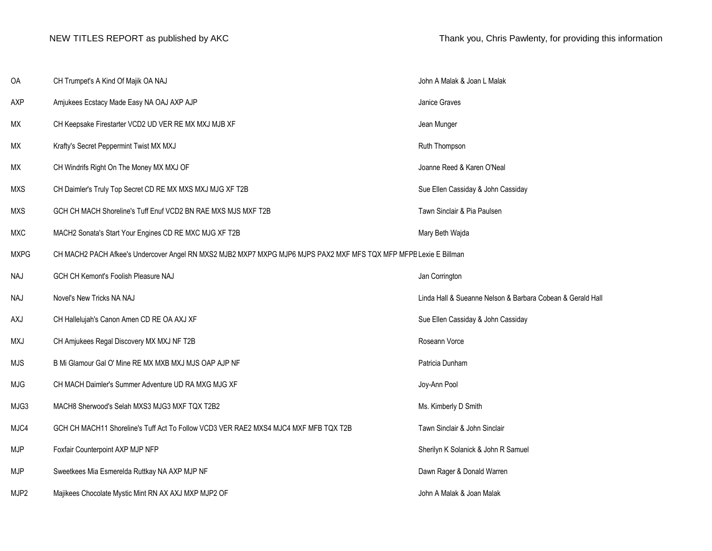| OA          | CH Trumpet's A Kind Of Majik OA NAJ                                                                               | John A Malak & Joan L Malak                                |
|-------------|-------------------------------------------------------------------------------------------------------------------|------------------------------------------------------------|
| AXP         | Amjukees Ecstacy Made Easy NA OAJ AXP AJP                                                                         | Janice Graves                                              |
| МX          | CH Keepsake Firestarter VCD2 UD VER RE MX MXJ MJB XF                                                              | Jean Munger                                                |
| МX          | Krafty's Secret Peppermint Twist MX MXJ                                                                           | Ruth Thompson                                              |
| МX          | CH Windrifs Right On The Money MX MXJ OF                                                                          | Joanne Reed & Karen O'Neal                                 |
| <b>MXS</b>  | CH Daimler's Truly Top Secret CD RE MX MXS MXJ MJG XF T2B                                                         | Sue Ellen Cassiday & John Cassiday                         |
| <b>MXS</b>  | GCH CH MACH Shoreline's Tuff Enuf VCD2 BN RAE MXS MJS MXF T2B                                                     | Tawn Sinclair & Pia Paulsen                                |
| <b>MXC</b>  | MACH2 Sonata's Start Your Engines CD RE MXC MJG XF T2B                                                            | Mary Beth Wajda                                            |
| <b>MXPG</b> | CH MACH2 PACH Afkee's Undercover Angel RN MXS2 MJB2 MXP7 MXPG MJP6 MJPS PAX2 MXF MFS TQX MFP MFPB Lexie E Billman |                                                            |
| NAJ         | GCH CH Kemont's Foolish Pleasure NAJ                                                                              | Jan Corrington                                             |
| NAJ         | Novel's New Tricks NA NAJ                                                                                         | Linda Hall & Sueanne Nelson & Barbara Cobean & Gerald Hall |
| AXJ         | CH Hallelujah's Canon Amen CD RE OA AXJ XF                                                                        | Sue Ellen Cassiday & John Cassiday                         |
| MXJ         | CH Amjukees Regal Discovery MX MXJ NF T2B                                                                         | Roseann Vorce                                              |
| <b>MJS</b>  | B Mi Glamour Gal O' Mine RE MX MXB MXJ MJS OAP AJP NF                                                             |                                                            |
| <b>MJG</b>  |                                                                                                                   | Patricia Dunham                                            |
|             | CH MACH Daimler's Summer Adventure UD RA MXG MJG XF                                                               | Joy-Ann Pool                                               |
| MJG3        | MACH8 Sherwood's Selah MXS3 MJG3 MXF TQX T2B2                                                                     | Ms. Kimberly D Smith                                       |
| MJC4        | GCH CH MACH11 Shoreline's Tuff Act To Follow VCD3 VER RAE2 MXS4 MJC4 MXF MFB TQX T2B                              | Tawn Sinclair & John Sinclair                              |
| <b>MJP</b>  | Foxfair Counterpoint AXP MJP NFP                                                                                  | Sherilyn K Solanick & John R Samuel                        |
| <b>MJP</b>  | Sweetkees Mia Esmerelda Ruttkay NA AXP MJP NF                                                                     | Dawn Rager & Donald Warren                                 |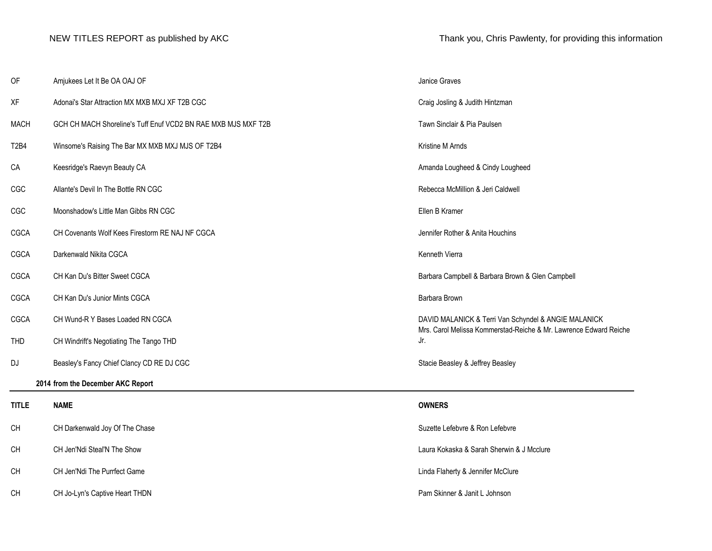| OF                            | Amjukees Let It Be OA OAJ OF                                  | Janice Graves                                                                                                             |  |
|-------------------------------|---------------------------------------------------------------|---------------------------------------------------------------------------------------------------------------------------|--|
| XF                            | Adonai's Star Attraction MX MXB MXJ XF T2B CGC                | Craig Josling & Judith Hintzman                                                                                           |  |
| <b>MACH</b>                   | GCH CH MACH Shoreline's Tuff Enuf VCD2 BN RAE MXB MJS MXF T2B | Tawn Sinclair & Pia Paulsen                                                                                               |  |
| T <sub>2</sub> B <sub>4</sub> | Winsome's Raising The Bar MX MXB MXJ MJS OF T2B4              | Kristine M Arnds                                                                                                          |  |
| CA                            | Keesridge's Raevyn Beauty CA                                  | Amanda Lougheed & Cindy Lougheed                                                                                          |  |
| CGC                           | Allante's Devil In The Bottle RN CGC                          | Rebecca McMillion & Jeri Caldwell                                                                                         |  |
| CGC                           | Moonshadow's Little Man Gibbs RN CGC                          | Ellen B Kramer                                                                                                            |  |
| CGCA                          | CH Covenants Wolf Kees Firestorm RE NAJ NF CGCA               | Jennifer Rother & Anita Houchins                                                                                          |  |
| CGCA                          | Darkenwald Nikita CGCA                                        | Kenneth Vierra                                                                                                            |  |
| CGCA                          | CH Kan Du's Bitter Sweet CGCA                                 | Barbara Campbell & Barbara Brown & Glen Campbell                                                                          |  |
| CGCA                          | CH Kan Du's Junior Mints CGCA                                 | Barbara Brown                                                                                                             |  |
| CGCA                          | CH Wund-R Y Bases Loaded RN CGCA                              | DAVID MALANICK & Terri Van Schyndel & ANGIE MALANICK<br>Mrs. Carol Melissa Kommerstad-Reiche & Mr. Lawrence Edward Reiche |  |
| <b>THD</b>                    | CH Windrift's Negotiating The Tango THD                       | Jr.                                                                                                                       |  |
| DJ                            | Beasley's Fancy Chief Clancy CD RE DJ CGC                     | Stacie Beasley & Jeffrey Beasley                                                                                          |  |
|                               | 2014 from the December AKC Report                             |                                                                                                                           |  |
| <b>TITLE</b>                  | <b>NAME</b>                                                   | <b>OWNERS</b>                                                                                                             |  |
| CH                            | CH Darkenwald Joy Of The Chase                                | Suzette Lefebvre & Ron Lefebvre                                                                                           |  |
| CH                            | CH Jen'Ndi Steal'N The Show                                   | Laura Kokaska & Sarah Sherwin & J Mcclure                                                                                 |  |
| CH                            | CH Jen'Ndi The Purrfect Game                                  | Linda Flaherty & Jennifer McClure                                                                                         |  |
| <b>CH</b>                     | CH Jo-Lyn's Captive Heart THDN                                | Pam Skinner & Janit L Johnson                                                                                             |  |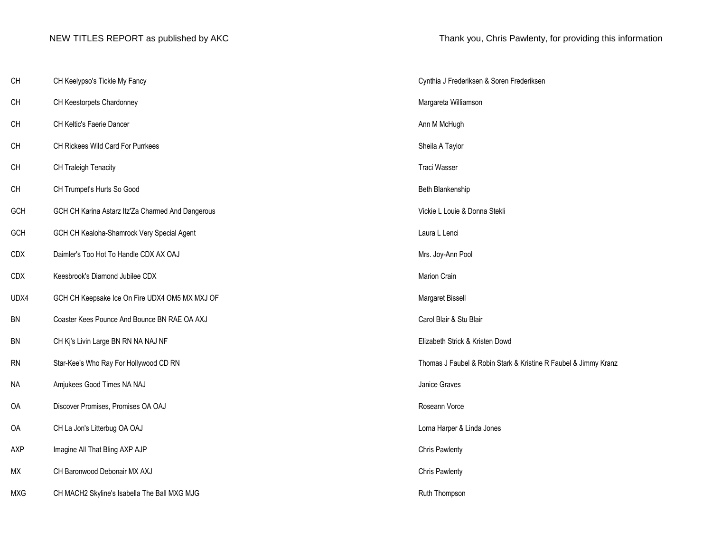| CH         | CH Keelypso's Tickle My Fancy                     | Cynthia J Frederiksen & Soren Frederiksen                       |
|------------|---------------------------------------------------|-----------------------------------------------------------------|
| CH         | CH Keestorpets Chardonney                         | Margareta Williamson                                            |
| <b>CH</b>  | CH Keltic's Faerie Dancer                         | Ann M McHugh                                                    |
| CH         | CH Rickees Wild Card For Purrkees                 | Sheila A Taylor                                                 |
| CH         | CH Traleigh Tenacity                              | Traci Wasser                                                    |
| CH         | CH Trumpet's Hurts So Good                        | Beth Blankenship                                                |
| GCH        | GCH CH Karina Astarz Itz'Za Charmed And Dangerous | Vickie L Louie & Donna Stekli                                   |
| GCH        | GCH CH Kealoha-Shamrock Very Special Agent        | Laura L Lenci                                                   |
| CDX        | Daimler's Too Hot To Handle CDX AX OAJ            | Mrs. Joy-Ann Pool                                               |
| CDX        | Keesbrook's Diamond Jubilee CDX                   | Marion Crain                                                    |
| UDX4       | GCH CH Keepsake Ice On Fire UDX4 OM5 MX MXJ OF    | Margaret Bissell                                                |
| <b>BN</b>  | Coaster Kees Pounce And Bounce BN RAE OA AXJ      | Carol Blair & Stu Blair                                         |
| BN         | CH Kj's Livin Large BN RN NA NAJ NF               | Elizabeth Strick & Kristen Dowd                                 |
| RN         | Star-Kee's Who Ray For Hollywood CD RN            | Thomas J Faubel & Robin Stark & Kristine R Faubel & Jimmy Kranz |
| <b>NA</b>  | Amjukees Good Times NA NAJ                        | Janice Graves                                                   |
| OA         | Discover Promises, Promises OA OAJ                | Roseann Vorce                                                   |
| OA         | CH La Jon's Litterbug OA OAJ                      | Lorna Harper & Linda Jones                                      |
| AXP        | Imagine All That Bling AXP AJP                    | <b>Chris Pawlenty</b>                                           |
| МX         | CH Baronwood Debonair MX AXJ                      | <b>Chris Pawlenty</b>                                           |
| <b>MXG</b> | CH MACH2 Skyline's Isabella The Ball MXG MJG      | Ruth Thompson                                                   |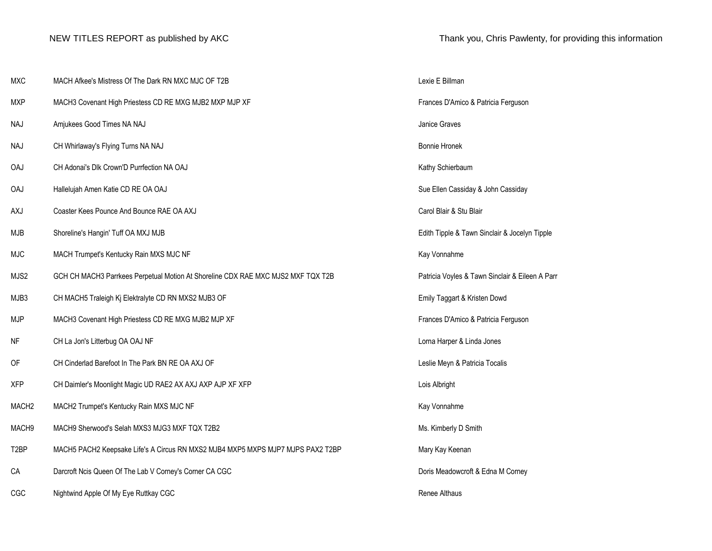| <b>MXC</b>        | MACH Afkee's Mistress Of The Dark RN MXC MJC OF T2B                              | Lexie E Billman                                 |
|-------------------|----------------------------------------------------------------------------------|-------------------------------------------------|
| <b>MXP</b>        | MACH3 Covenant High Priestess CD RE MXG MJB2 MXP MJP XF                          | Frances D'Amico & Patricia Ferguson             |
| <b>NAJ</b>        | Amjukees Good Times NA NAJ                                                       | Janice Graves                                   |
| <b>NAJ</b>        | CH Whirlaway's Flying Turns NA NAJ                                               | <b>Bonnie Hronek</b>                            |
| OAJ               | CH Adonai's Dlk Crown'D Purrfection NA OAJ                                       | Kathy Schierbaum                                |
| <b>OAJ</b>        | Hallelujah Amen Katie CD RE OA OAJ                                               | Sue Ellen Cassiday & John Cassiday              |
| AXJ               | Coaster Kees Pounce And Bounce RAE OA AXJ                                        | Carol Blair & Stu Blair                         |
| <b>MJB</b>        | Shoreline's Hangin' Tuff OA MXJ MJB                                              | Edith Tipple & Tawn Sinclair & Jocelyn Tipple   |
| <b>MJC</b>        | MACH Trumpet's Kentucky Rain MXS MJC NF                                          | Kay Vonnahme                                    |
| MJS2              | GCH CH MACH3 Parrkees Perpetual Motion At Shoreline CDX RAE MXC MJS2 MXF TQX T2B | Patricia Voyles & Tawn Sinclair & Eileen A Parr |
| MJB3              | CH MACH5 Traleigh Kj Elektralyte CD RN MXS2 MJB3 OF                              | Emily Taggart & Kristen Dowd                    |
| <b>MJP</b>        | MACH3 Covenant High Priestess CD RE MXG MJB2 MJP XF                              | Frances D'Amico & Patricia Ferguson             |
| NF                | CH La Jon's Litterbug OA OAJ NF                                                  | Lorna Harper & Linda Jones                      |
| OF                | CH Cinderlad Barefoot In The Park BN RE OA AXJ OF                                | Leslie Meyn & Patricia Tocalis                  |
| <b>XFP</b>        | CH Daimler's Moonlight Magic UD RAE2 AX AXJ AXP AJP XF XFP                       | Lois Albright                                   |
| MACH <sub>2</sub> | MACH2 Trumpet's Kentucky Rain MXS MJC NF                                         | Kay Vonnahme                                    |
| MACH9             | MACH9 Sherwood's Selah MXS3 MJG3 MXF TQX T2B2                                    | Ms. Kimberly D Smith                            |
| T <sub>2</sub> BP | MACH5 PACH2 Keepsake Life's A Circus RN MXS2 MJB4 MXP5 MXPS MJP7 MJPS PAX2 T2BP  | Mary Kay Keenan                                 |
| CA                | Darcroft Ncis Queen Of The Lab V Corney's Corner CA CGC                          | Doris Meadowcroft & Edna M Corney               |
| CGC               | Nightwind Apple Of My Eye Ruttkay CGC                                            | Renee Althaus                                   |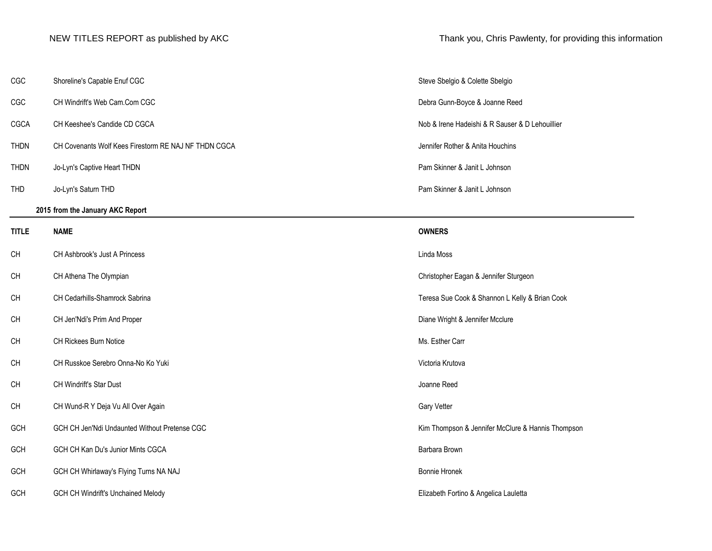| CGC          | Shoreline's Capable Enuf CGC                         | Steve Sbelgio &      |
|--------------|------------------------------------------------------|----------------------|
| CGC          | CH Windrift's Web Cam.Com CGC                        | Debra Gunn-Bo        |
| CGCA         | CH Keeshee's Candide CD CGCA                         | Nob & Irene Ha       |
| <b>THDN</b>  | CH Covenants Wolf Kees Firestorm RE NAJ NF THDN CGCA | Jennifer Rother      |
| <b>THDN</b>  | Jo-Lyn's Captive Heart THDN                          | Pam Skinner &        |
| <b>THD</b>   | Jo-Lyn's Saturn THD                                  | Pam Skinner &        |
|              | 2015 from the January AKC Report                     |                      |
| <b>TITLE</b> | <b>NAME</b>                                          | <b>OWNERS</b>        |
| CH           | CH Ashbrook's Just A Princess                        | Linda Moss           |
| СH           | CH Athena The Olympian                               | Christopher Eag      |
| CH           | CH Cedarhills-Shamrock Sabrina                       | Teresa Sue Coo       |
| CH           | CH Jen'Ndi's Prim And Proper                         | Diane Wright &       |
| CH           | CH Rickees Burn Notice                               | Ms. Esther Carr      |
| CH           | CH Russkoe Serebro Onna-No Ko Yuki                   | Victoria Krutova     |
| CH           | CH Windrift's Star Dust                              | Joanne Reed          |
| CH           | CH Wund-R Y Deja Vu All Over Again                   | Gary Vetter          |
| GCH          | GCH CH Jen'Ndi Undaunted Without Pretense CGC        | Kim Thompson         |
| GCH          | GCH CH Kan Du's Junior Mints CGCA                    | Barbara Brown        |
| GCH          | GCH CH Whirlaway's Flying Turns NA NAJ               | <b>Bonnie Hronek</b> |
|              |                                                      |                      |

GCH GCH CH Windrift's Unchained Melody **Elizabeth Fortino & Angelica Lauletta** CCH CH Windrift's Unchained Melody

NEW TITLES REPORT as published by AKC Thank you, Chris Pawlenty, for providing this information

Steve Sbelgio & Colette Sbelgio Debra Gunn-Boyce & Joanne Reed Nob & Irene Hadeishi & R Sauser & D Lehouillier Jennifer Rother & Anita Houchins Pam Skinner & Janit L Johnson Pam Skinner & Janit L Johnson

Christopher Eagan & Jennifer Sturgeon

Teresa Sue Cook & Shannon L Kelly & Brian Cook

Diane Wright & Jennifer Mcclure

Kim Thompson & Jennifer McClure & Hannis Thompson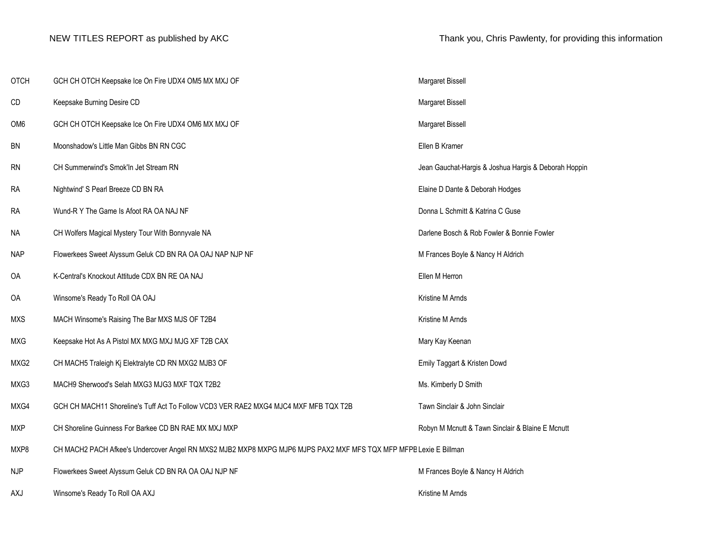| <b>OTCH</b>     | GCH CH OTCH Keepsake Ice On Fire UDX4 OM5 MX MXJ OF                                                               | Margaret Bissell                                     |
|-----------------|-------------------------------------------------------------------------------------------------------------------|------------------------------------------------------|
| CD              | Keepsake Burning Desire CD                                                                                        | Margaret Bissell                                     |
| OM <sub>6</sub> | GCH CH OTCH Keepsake Ice On Fire UDX4 OM6 MX MXJ OF                                                               | Margaret Bissell                                     |
| BN              | Moonshadow's Little Man Gibbs BN RN CGC                                                                           | Ellen B Kramer                                       |
| <b>RN</b>       | CH Summerwind's Smok'In Jet Stream RN                                                                             | Jean Gauchat-Hargis & Joshua Hargis & Deborah Hoppin |
| RA              | Nightwind' S Pearl Breeze CD BN RA                                                                                | Elaine D Dante & Deborah Hodges                      |
| <b>RA</b>       | Wund-R Y The Game Is Afoot RA OA NAJ NF                                                                           | Donna L Schmitt & Katrina C Guse                     |
| <b>NA</b>       | CH Wolfers Magical Mystery Tour With Bonnyvale NA                                                                 | Darlene Bosch & Rob Fowler & Bonnie Fowler           |
| <b>NAP</b>      | Flowerkees Sweet Alyssum Geluk CD BN RA OA OAJ NAP NJP NF                                                         | M Frances Boyle & Nancy H Aldrich                    |
| OA              | K-Central's Knockout Attitude CDX BN RE OA NAJ                                                                    | Ellen M Herron                                       |
| OA              | Winsome's Ready To Roll OA OAJ                                                                                    | Kristine M Arnds                                     |
| <b>MXS</b>      | MACH Winsome's Raising The Bar MXS MJS OF T2B4                                                                    | Kristine M Arnds                                     |
| <b>MXG</b>      | Keepsake Hot As A Pistol MX MXG MXJ MJG XF T2B CAX                                                                | Mary Kay Keenan                                      |
| MXG2            | CH MACH5 Traleigh Kj Elektralyte CD RN MXG2 MJB3 OF                                                               | Emily Taggart & Kristen Dowd                         |
| MXG3            | MACH9 Sherwood's Selah MXG3 MJG3 MXF TQX T2B2                                                                     | Ms. Kimberly D Smith                                 |
| MXG4            | GCH CH MACH11 Shoreline's Tuff Act To Follow VCD3 VER RAE2 MXG4 MJC4 MXF MFB TQX T2B                              | Tawn Sinclair & John Sinclair                        |
| <b>MXP</b>      | CH Shoreline Guinness For Barkee CD BN RAE MX MXJ MXP                                                             | Robyn M Mcnutt & Tawn Sinclair & Blaine E Mcnutt     |
| MXP8            | CH MACH2 PACH Afkee's Undercover Angel RN MXS2 MJB2 MXP8 MXPG MJP6 MJPS PAX2 MXF MFS TQX MFP MFPB Lexie E Billman |                                                      |
| <b>NJP</b>      | Flowerkees Sweet Alyssum Geluk CD BN RA OA OAJ NJP NF                                                             | M Frances Boyle & Nancy H Aldrich                    |
| AXJ             | Winsome's Ready To Roll OA AXJ                                                                                    | Kristine M Arnds                                     |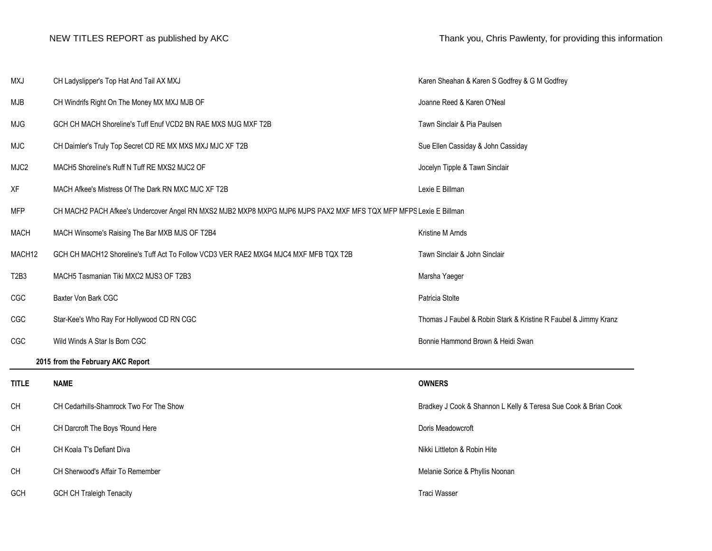| <b>MXJ</b>                    | CH Ladyslipper's Top Hat And Tail AX MXJ                                                                          | Karen Sheahan & Karen S Godfrey & G M Godfrey                   |  |
|-------------------------------|-------------------------------------------------------------------------------------------------------------------|-----------------------------------------------------------------|--|
| MJB                           | CH Windrifs Right On The Money MX MXJ MJB OF                                                                      | Joanne Reed & Karen O'Neal                                      |  |
| <b>MJG</b>                    | GCH CH MACH Shoreline's Tuff Enuf VCD2 BN RAE MXS MJG MXF T2B                                                     | Tawn Sinclair & Pia Paulsen                                     |  |
| <b>MJC</b>                    | CH Daimler's Truly Top Secret CD RE MX MXS MXJ MJC XF T2B                                                         | Sue Ellen Cassiday & John Cassiday                              |  |
| MJC2                          | MACH5 Shoreline's Ruff N Tuff RE MXS2 MJC2 OF                                                                     | Jocelyn Tipple & Tawn Sinclair                                  |  |
| XF                            | MACH Afkee's Mistress Of The Dark RN MXC MJC XF T2B                                                               | Lexie E Billman                                                 |  |
| <b>MFP</b>                    | CH MACH2 PACH Afkee's Undercover Angel RN MXS2 MJB2 MXP8 MXPG MJP6 MJPS PAX2 MXF MFS TQX MFP MFPS Lexie E Billman |                                                                 |  |
| <b>MACH</b>                   | MACH Winsome's Raising The Bar MXB MJS OF T2B4                                                                    | Kristine M Arnds                                                |  |
| MACH12                        | GCH CH MACH12 Shoreline's Tuff Act To Follow VCD3 VER RAE2 MXG4 MJC4 MXF MFB TQX T2B                              | Tawn Sinclair & John Sinclair                                   |  |
| T <sub>2</sub> B <sub>3</sub> | MACH5 Tasmanian Tiki MXC2 MJS3 OF T2B3                                                                            | Marsha Yaeger                                                   |  |
| CGC                           | Baxter Von Bark CGC                                                                                               | Patricia Stolte                                                 |  |
| CGC                           | Star-Kee's Who Ray For Hollywood CD RN CGC                                                                        | Thomas J Faubel & Robin Stark & Kristine R Faubel & Jimmy Kranz |  |
| CGC                           | Wild Winds A Star Is Born CGC                                                                                     | Bonnie Hammond Brown & Heidi Swan                               |  |
|                               | 2015 from the February AKC Report                                                                                 |                                                                 |  |
| <b>TITLE</b>                  | <b>NAME</b>                                                                                                       | <b>OWNERS</b>                                                   |  |
| CH                            | CH Cedarhills-Shamrock Two For The Show                                                                           | Bradkey J Cook & Shannon L Kelly & Teresa Sue Cook & Brian Cook |  |
| <b>CH</b>                     | CH Darcroft The Boys 'Round Here                                                                                  | Doris Meadowcroft                                               |  |
| CH                            | CH Koala T's Defiant Diva                                                                                         | Nikki Littleton & Robin Hite                                    |  |
| CH                            | CH Sherwood's Affair To Remember                                                                                  | Melanie Sorice & Phyllis Noonan                                 |  |
| GCH                           | <b>GCH CH Traleigh Tenacity</b>                                                                                   | <b>Traci Wasser</b>                                             |  |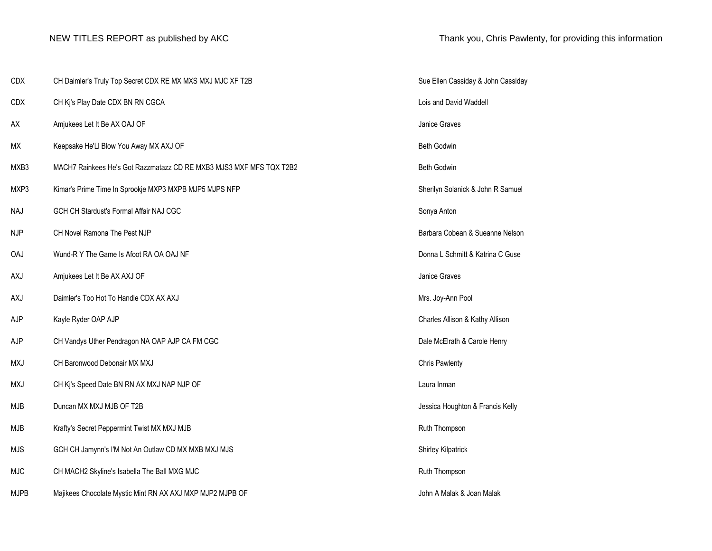| <b>CDX</b>  | CH Daimler's Truly Top Secret CDX RE MX MXS MXJ MJC XF T2B          | Sue Ellen Cassiday & John Cassiday |
|-------------|---------------------------------------------------------------------|------------------------------------|
| <b>CDX</b>  | CH Kj's Play Date CDX BN RN CGCA                                    | Lois and David Waddell             |
| AX          | Amjukees Let It Be AX OAJ OF                                        | Janice Graves                      |
| МX          | Keepsake He'Ll Blow You Away MX AXJ OF                              | Beth Godwin                        |
| MXB3        | MACH7 Rainkees He's Got Razzmatazz CD RE MXB3 MJS3 MXF MFS TQX T2B2 | <b>Beth Godwin</b>                 |
| MXP3        | Kimar's Prime Time In Sprookje MXP3 MXPB MJP5 MJPS NFP              | Sherilyn Solanick & John R Samuel  |
| <b>NAJ</b>  | GCH CH Stardust's Formal Affair NAJ CGC                             | Sonya Anton                        |
| <b>NJP</b>  | CH Novel Ramona The Pest NJP                                        | Barbara Cobean & Sueanne Nelson    |
| <b>OAJ</b>  | Wund-R Y The Game Is Afoot RA OA OAJ NF                             | Donna L Schmitt & Katrina C Guse   |
| AXJ         | Amjukees Let It Be AX AXJ OF                                        | Janice Graves                      |
| AXJ         | Daimler's Too Hot To Handle CDX AX AXJ                              | Mrs. Joy-Ann Pool                  |
| AJP         | Kayle Ryder OAP AJP                                                 | Charles Allison & Kathy Allison    |
| AJP         | CH Vandys Uther Pendragon NA OAP AJP CA FM CGC                      | Dale McElrath & Carole Henry       |
| MXJ         | CH Baronwood Debonair MX MXJ                                        | <b>Chris Pawlenty</b>              |
| <b>MXJ</b>  | CH Kj's Speed Date BN RN AX MXJ NAP NJP OF                          | Laura Inman                        |
| MJB         | Duncan MX MXJ MJB OF T2B                                            | Jessica Houghton & Francis Kelly   |
| MJB         | Krafty's Secret Peppermint Twist MX MXJ MJB                         | Ruth Thompson                      |
| <b>MJS</b>  | GCH CH Jamynn's I'M Not An Outlaw CD MX MXB MXJ MJS                 | Shirley Kilpatrick                 |
| <b>MJC</b>  | CH MACH2 Skyline's Isabella The Ball MXG MJC                        | Ruth Thompson                      |
| <b>MJPB</b> | Majikees Chocolate Mystic Mint RN AX AXJ MXP MJP2 MJPB OF           | John A Malak & Joan Malak          |